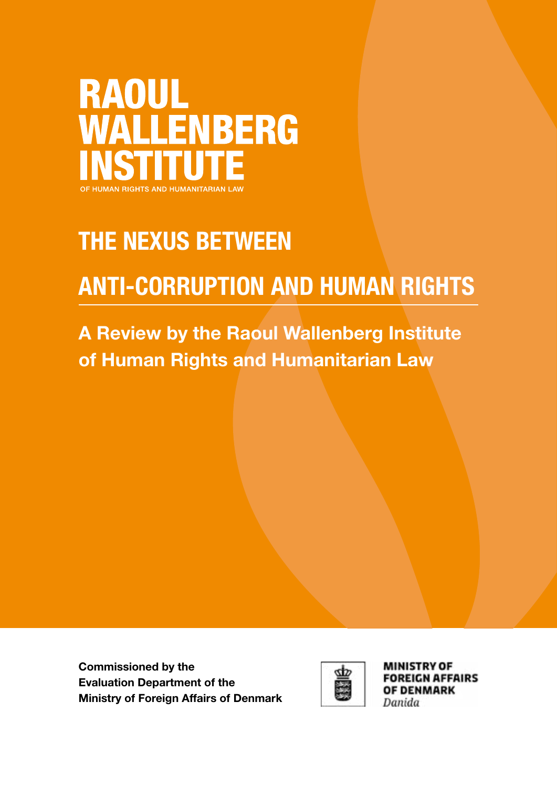

# THE NEXUS BETWEEN

# ANTI-CORRUPTION AND HUMAN RIGHTS

A Review by the Raoul Wallenberg Institute of Human Rights and Humanitarian Law

Commissioned by the Evaluation Department of the Ministry of Foreign Affairs of Denmark



**MINISTRY OF FOREIGN AFFAIRS OF DENMARK** Danida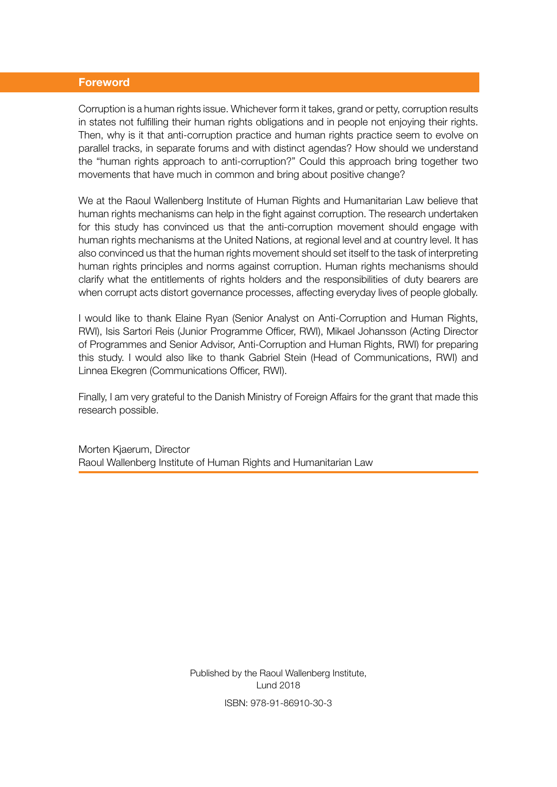#### Foreword

Corruption is a human rights issue. Whichever form it takes, grand or petty, corruption results in states not fulfilling their human rights obligations and in people not enjoying their rights. Then, why is it that anti-corruption practice and human rights practice seem to evolve on parallel tracks, in separate forums and with distinct agendas? How should we understand the "human rights approach to anti-corruption?" Could this approach bring together two movements that have much in common and bring about positive change?

We at the Raoul Wallenberg Institute of Human Rights and Humanitarian Law believe that human rights mechanisms can help in the fight against corruption. The research undertaken for this study has convinced us that the anti-corruption movement should engage with human rights mechanisms at the United Nations, at regional level and at country level. It has also convinced us that the human rights movement should set itself to the task of interpreting human rights principles and norms against corruption. Human rights mechanisms should clarify what the entitlements of rights holders and the responsibilities of duty bearers are when corrupt acts distort governance processes, affecting everyday lives of people globally.

I would like to thank Elaine Ryan (Senior Analyst on Anti-Corruption and Human Rights, RWI), Isis Sartori Reis (Junior Programme Officer, RWI), Mikael Johansson (Acting Director of Programmes and Senior Advisor, Anti-Corruption and Human Rights, RWI) for preparing this study. I would also like to thank Gabriel Stein (Head of Communications, RWI) and Linnea Ekegren (Communications Officer, RWI).

Finally, I am very grateful to the Danish Ministry of Foreign Affairs for the grant that made this research possible.

Morten Kjaerum, Director Raoul Wallenberg Institute of Human Rights and Humanitarian Law

> Published by the Raoul Wallenberg Institute, Lund 2018 ISBN: 978-91-86910-30-3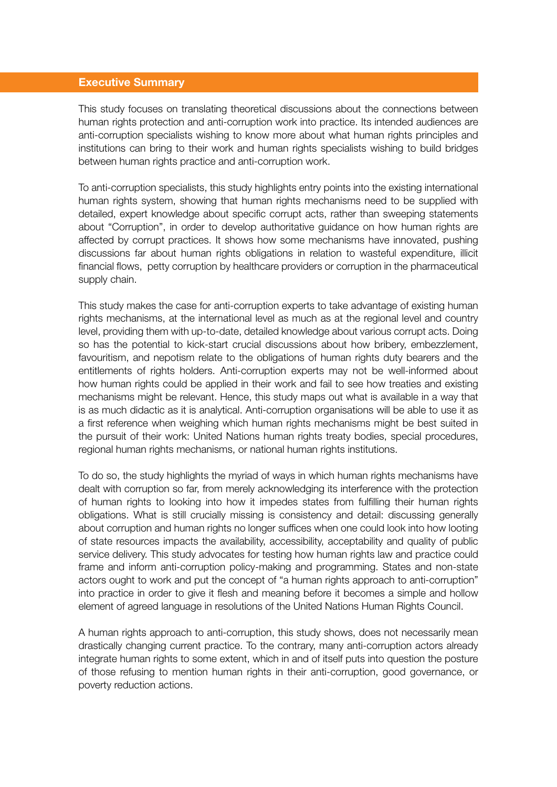#### Executive Summary

This study focuses on translating theoretical discussions about the connections between human rights protection and anti-corruption work into practice. Its intended audiences are anti-corruption specialists wishing to know more about what human rights principles and institutions can bring to their work and human rights specialists wishing to build bridges between human rights practice and anti-corruption work.

To anti-corruption specialists, this study highlights entry points into the existing international human rights system, showing that human rights mechanisms need to be supplied with detailed, expert knowledge about specific corrupt acts, rather than sweeping statements about "Corruption", in order to develop authoritative guidance on how human rights are affected by corrupt practices. It shows how some mechanisms have innovated, pushing discussions far about human rights obligations in relation to wasteful expenditure, illicit financial flows, petty corruption by healthcare providers or corruption in the pharmaceutical supply chain.

This study makes the case for anti-corruption experts to take advantage of existing human rights mechanisms, at the international level as much as at the regional level and country level, providing them with up-to-date, detailed knowledge about various corrupt acts. Doing so has the potential to kick-start crucial discussions about how bribery, embezzlement, favouritism, and nepotism relate to the obligations of human rights duty bearers and the entitlements of rights holders. Anti-corruption experts may not be well-informed about how human rights could be applied in their work and fail to see how treaties and existing mechanisms might be relevant. Hence, this study maps out what is available in a way that is as much didactic as it is analytical. Anti-corruption organisations will be able to use it as a first reference when weighing which human rights mechanisms might be best suited in the pursuit of their work: United Nations human rights treaty bodies, special procedures, regional human rights mechanisms, or national human rights institutions.

To do so, the study highlights the myriad of ways in which human rights mechanisms have dealt with corruption so far, from merely acknowledging its interference with the protection of human rights to looking into how it impedes states from fulfilling their human rights obligations. What is still crucially missing is consistency and detail: discussing generally about corruption and human rights no longer suffices when one could look into how looting of state resources impacts the availability, accessibility, acceptability and quality of public service delivery. This study advocates for testing how human rights law and practice could frame and inform anti-corruption policy-making and programming. States and non-state actors ought to work and put the concept of "a human rights approach to anti-corruption" into practice in order to give it flesh and meaning before it becomes a simple and hollow element of agreed language in resolutions of the United Nations Human Rights Council.

A human rights approach to anti-corruption, this study shows, does not necessarily mean drastically changing current practice. To the contrary, many anti-corruption actors already integrate human rights to some extent, which in and of itself puts into question the posture of those refusing to mention human rights in their anti-corruption, good governance, or poverty reduction actions.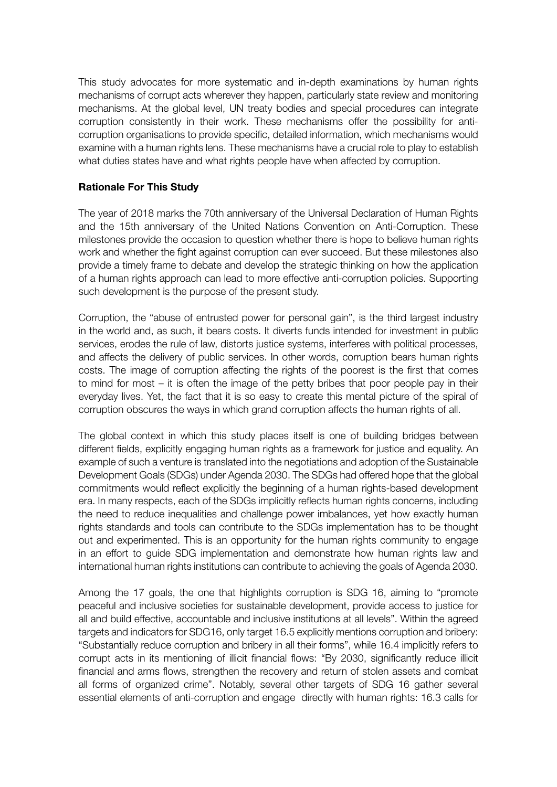This study advocates for more systematic and in-depth examinations by human rights mechanisms of corrupt acts wherever they happen, particularly state review and monitoring mechanisms. At the global level, UN treaty bodies and special procedures can integrate corruption consistently in their work. These mechanisms offer the possibility for anticorruption organisations to provide specific, detailed information, which mechanisms would examine with a human rights lens. These mechanisms have a crucial role to play to establish what duties states have and what rights people have when affected by corruption.

#### Rationale For This Study

The year of 2018 marks the 70th anniversary of the Universal Declaration of Human Rights and the 15th anniversary of the United Nations Convention on Anti-Corruption. These milestones provide the occasion to question whether there is hope to believe human rights work and whether the fight against corruption can ever succeed. But these milestones also provide a timely frame to debate and develop the strategic thinking on how the application of a human rights approach can lead to more effective anti-corruption policies. Supporting such development is the purpose of the present study.

Corruption, the "abuse of entrusted power for personal gain", is the third largest industry in the world and, as such, it bears costs. It diverts funds intended for investment in public services, erodes the rule of law, distorts justice systems, interferes with political processes, and affects the delivery of public services. In other words, corruption bears human rights costs. The image of corruption affecting the rights of the poorest is the first that comes to mind for most – it is often the image of the petty bribes that poor people pay in their everyday lives. Yet, the fact that it is so easy to create this mental picture of the spiral of corruption obscures the ways in which grand corruption affects the human rights of all.

The global context in which this study places itself is one of building bridges between different fields, explicitly engaging human rights as a framework for justice and equality. An example of such a venture is translated into the negotiations and adoption of the Sustainable Development Goals (SDGs) under Agenda 2030. The SDGs had offered hope that the global commitments would reflect explicitly the beginning of a human rights-based development era. In many respects, each of the SDGs implicitly reflects human rights concerns, including the need to reduce inequalities and challenge power imbalances, yet how exactly human rights standards and tools can contribute to the SDGs implementation has to be thought out and experimented. This is an opportunity for the human rights community to engage in an effort to guide SDG implementation and demonstrate how human rights law and international human rights institutions can contribute to achieving the goals of Agenda 2030.

Among the 17 goals, the one that highlights corruption is SDG 16, aiming to "promote peaceful and inclusive societies for sustainable development, provide access to justice for all and build effective, accountable and inclusive institutions at all levels". Within the agreed targets and indicators for SDG16, only target 16.5 explicitly mentions corruption and bribery: "Substantially reduce corruption and bribery in all their forms", while 16.4 implicitly refers to corrupt acts in its mentioning of illicit financial flows: "By 2030, significantly reduce illicit financial and arms flows, strengthen the recovery and return of stolen assets and combat all forms of organized crime". Notably, several other targets of SDG 16 gather several essential elements of anti-corruption and engage directly with human rights: 16.3 calls for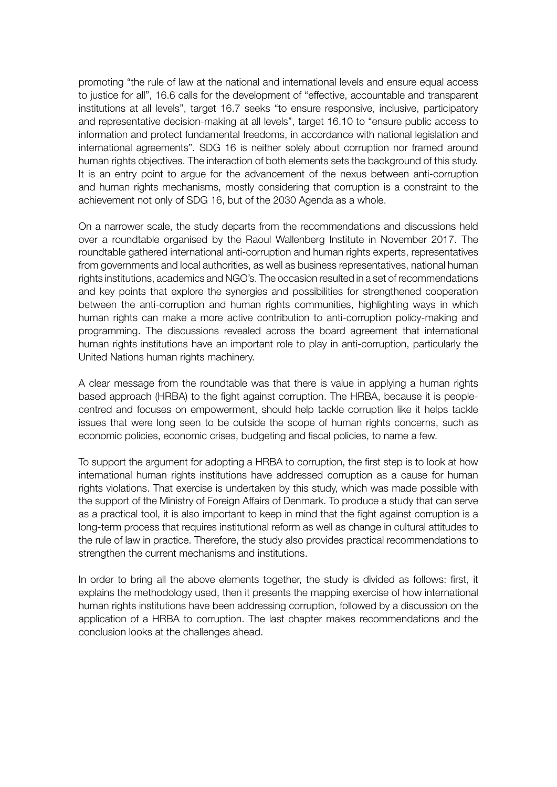promoting "the rule of law at the national and international levels and ensure equal access to justice for all", 16.6 calls for the development of "effective, accountable and transparent institutions at all levels", target 16.7 seeks "to ensure responsive, inclusive, participatory and representative decision-making at all levels", target 16.10 to "ensure public access to information and protect fundamental freedoms, in accordance with national legislation and international agreements". SDG 16 is neither solely about corruption nor framed around human rights objectives. The interaction of both elements sets the background of this study. It is an entry point to argue for the advancement of the nexus between anti-corruption and human rights mechanisms, mostly considering that corruption is a constraint to the achievement not only of SDG 16, but of the 2030 Agenda as a whole.

On a narrower scale, the study departs from the recommendations and discussions held over a roundtable organised by the Raoul Wallenberg Institute in November 2017. The roundtable gathered international anti-corruption and human rights experts, representatives from governments and local authorities, as well as business representatives, national human rights institutions, academics and NGO's. The occasion resulted in a set of recommendations and key points that explore the synergies and possibilities for strengthened cooperation between the anti-corruption and human rights communities, highlighting ways in which human rights can make a more active contribution to anti-corruption policy-making and programming. The discussions revealed across the board agreement that international human rights institutions have an important role to play in anti-corruption, particularly the United Nations human rights machinery.

A clear message from the roundtable was that there is value in applying a human rights based approach (HRBA) to the fight against corruption. The HRBA, because it is peoplecentred and focuses on empowerment, should help tackle corruption like it helps tackle issues that were long seen to be outside the scope of human rights concerns, such as economic policies, economic crises, budgeting and fiscal policies, to name a few.

To support the argument for adopting a HRBA to corruption, the first step is to look at how international human rights institutions have addressed corruption as a cause for human rights violations. That exercise is undertaken by this study, which was made possible with the support of the Ministry of Foreign Affairs of Denmark. To produce a study that can serve as a practical tool, it is also important to keep in mind that the fight against corruption is a long-term process that requires institutional reform as well as change in cultural attitudes to the rule of law in practice. Therefore, the study also provides practical recommendations to strengthen the current mechanisms and institutions.

In order to bring all the above elements together, the study is divided as follows: first, it explains the methodology used, then it presents the mapping exercise of how international human rights institutions have been addressing corruption, followed by a discussion on the application of a HRBA to corruption. The last chapter makes recommendations and the conclusion looks at the challenges ahead.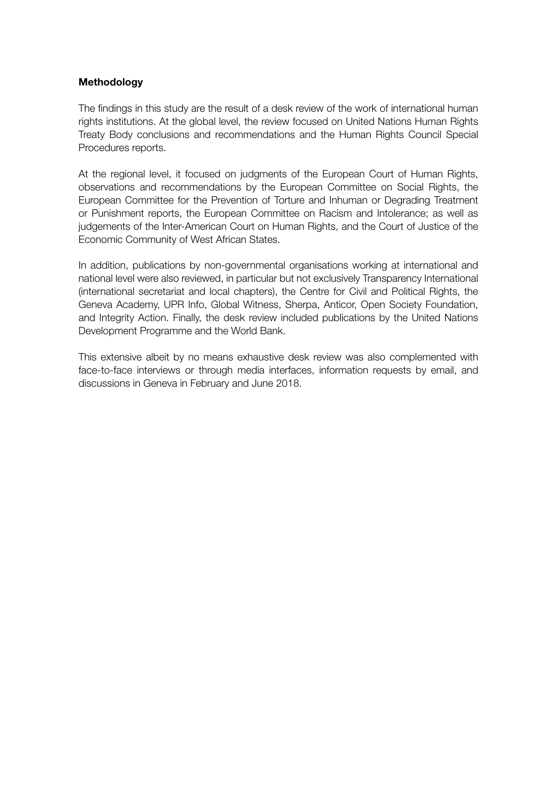#### Methodology

The findings in this study are the result of a desk review of the work of international human rights institutions. At the global level, the review focused on United Nations Human Rights Treaty Body conclusions and recommendations and the Human Rights Council Special Procedures reports.

At the regional level, it focused on judgments of the European Court of Human Rights, observations and recommendations by the European Committee on Social Rights, the European Committee for the Prevention of Torture and Inhuman or Degrading Treatment or Punishment reports, the European Committee on Racism and Intolerance; as well as judgements of the Inter-American Court on Human Rights, and the Court of Justice of the Economic Community of West African States.

In addition, publications by non-governmental organisations working at international and national level were also reviewed, in particular but not exclusively Transparency International (international secretariat and local chapters), the Centre for Civil and Political Rights, the Geneva Academy, UPR Info, Global Witness, Sherpa, Anticor, Open Society Foundation, and Integrity Action. Finally, the desk review included publications by the United Nations Development Programme and the World Bank.

This extensive albeit by no means exhaustive desk review was also complemented with face-to-face interviews or through media interfaces, information requests by email, and discussions in Geneva in February and June 2018.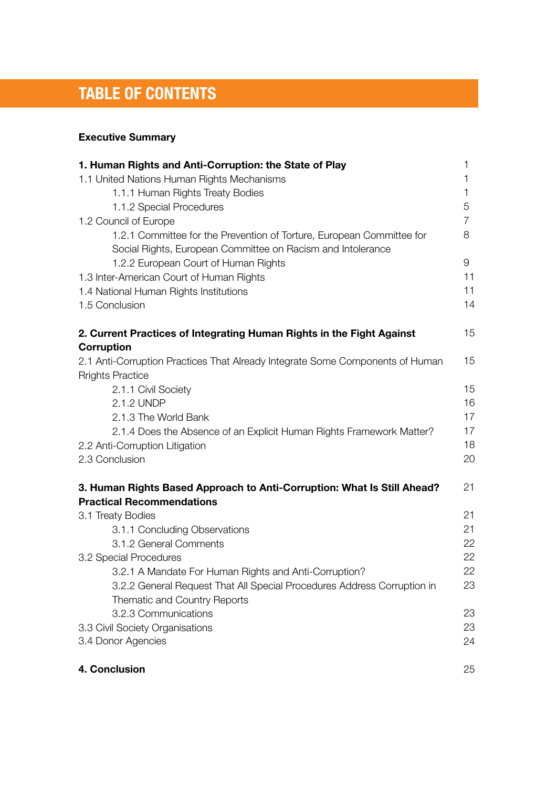# TABLE OF CONTENTS

# Executive Summary

| 1. Human Rights and Anti-Corruption: the State of Play                        | 1  |
|-------------------------------------------------------------------------------|----|
| 1.1 United Nations Human Rights Mechanisms                                    | 1  |
| 1.1.1 Human Rights Treaty Bodies                                              | 1  |
| 1.1.2 Special Procedures                                                      | 5  |
| 1.2 Council of Europe                                                         | 7  |
| 1.2.1 Committee for the Prevention of Torture, European Committee for         | 8  |
| Social Rights, European Committee on Racism and Intolerance                   |    |
| 1.2.2 European Court of Human Rights                                          | 9  |
| 1.3 Inter-American Court of Human Rights                                      | 11 |
| 1.4 National Human Rights Institutions                                        | 11 |
| 1.5 Conclusion                                                                | 14 |
| 2. Current Practices of Integrating Human Rights in the Fight Against         | 15 |
| Corruption                                                                    |    |
| 2.1 Anti-Corruption Practices That Already Integrate Some Components of Human | 15 |
| <b>Rrights Practice</b>                                                       |    |
| 2.1.1 Civil Society                                                           | 15 |
| 2.1.2 UNDP                                                                    | 16 |
| 2.1.3 The World Bank                                                          | 17 |
| 2.1.4 Does the Absence of an Explicit Human Rights Framework Matter?          | 17 |
| 2.2 Anti-Corruption Litigation                                                | 18 |
| 2.3 Conclusion                                                                | 20 |
| 3. Human Rights Based Approach to Anti-Corruption: What Is Still Ahead?       | 21 |
| <b>Practical Recommendations</b>                                              |    |
| 3.1 Treaty Bodies                                                             | 21 |
| 3.1.1 Concluding Observations                                                 | 21 |
| 3.1.2 General Comments                                                        | 22 |
| 3.2 Special Procedures                                                        | 22 |
| 3.2.1 A Mandate For Human Rights and Anti-Corruption?                         | 22 |
| 3.2.2 General Request That All Special Procedures Address Corruption in       | 23 |
| Thematic and Country Reports                                                  |    |
| 3.2.3 Communications                                                          | 23 |
| 3.3 Civil Society Organisations                                               | 23 |
| 3.4 Donor Agencies                                                            | 24 |
| 4. Conclusion                                                                 | 25 |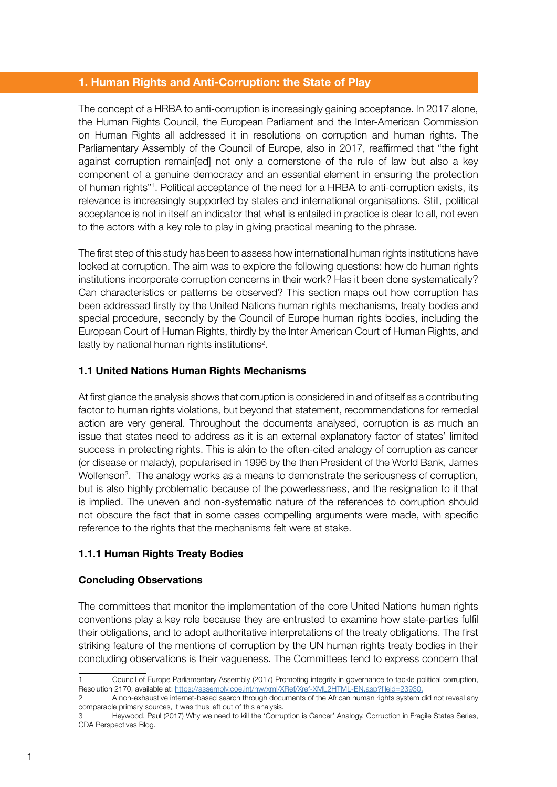#### 1. Human Rights and Anti-Corruption: the State of Play

The concept of a HRBA to anti-corruption is increasingly gaining acceptance. In 2017 alone, the Human Rights Council, the European Parliament and the Inter-American Commission on Human Rights all addressed it in resolutions on corruption and human rights. The Parliamentary Assembly of the Council of Europe, also in 2017, reaffirmed that "the fight against corruption remain[ed] not only a cornerstone of the rule of law but also a key component of a genuine democracy and an essential element in ensuring the protection of human rights"1 . Political acceptance of the need for a HRBA to anti-corruption exists, its relevance is increasingly supported by states and international organisations. Still, political acceptance is not in itself an indicator that what is entailed in practice is clear to all, not even to the actors with a key role to play in giving practical meaning to the phrase.

The first step of this study has been to assess how international human rights institutions have looked at corruption. The aim was to explore the following questions: how do human rights institutions incorporate corruption concerns in their work? Has it been done systematically? Can characteristics or patterns be observed? This section maps out how corruption has been addressed firstly by the United Nations human rights mechanisms, treaty bodies and special procedure, secondly by the Council of Europe human rights bodies, including the European Court of Human Rights, thirdly by the Inter American Court of Human Rights, and lastly by national human rights institutions<sup>2</sup>.

#### 1.1 United Nations Human Rights Mechanisms

At first glance the analysis shows that corruption is considered in and of itself as a contributing factor to human rights violations, but beyond that statement, recommendations for remedial action are very general. Throughout the documents analysed, corruption is as much an issue that states need to address as it is an external explanatory factor of states' limited success in protecting rights. This is akin to the often-cited analogy of corruption as cancer (or disease or malady), popularised in 1996 by the then President of the World Bank, James Wolfenson<sup>3</sup>. The analogy works as a means to demonstrate the seriousness of corruption, but is also highly problematic because of the powerlessness, and the resignation to it that is implied. The uneven and non-systematic nature of the references to corruption should not obscure the fact that in some cases compelling arguments were made, with specific reference to the rights that the mechanisms felt were at stake.

# 1.1.1 Human Rights Treaty Bodies

#### Concluding Observations

The committees that monitor the implementation of the core United Nations human rights conventions play a key role because they are entrusted to examine how state-parties fulfil their obligations, and to adopt authoritative interpretations of the treaty obligations. The first striking feature of the mentions of corruption by the UN human rights treaty bodies in their concluding observations is their vagueness. The Committees tend to express concern that

<sup>1</sup> Council of Europe Parliamentary Assembly (2017) Promoting integrity in governance to tackle political corruption, Resolution 2170, available at: [https://assembly.coe.int/nw/xml/XRef/Xref-XML2HTML-EN.asp?fileid=23930.](https://assembly.coe.int/nw/xml/XRef/Xref-XML2HTML-EN.asp?fileid=23930)

<sup>2</sup> A non-exhaustive internet-based search through documents of the African human rights system did not reveal any comparable primary sources, it was thus left out of this analysis.

<sup>3</sup> Heywood, Paul (2017) Why we need to kill the 'Corruption is Cancer' Analogy, Corruption in Fragile States Series, CDA Perspectives Blog.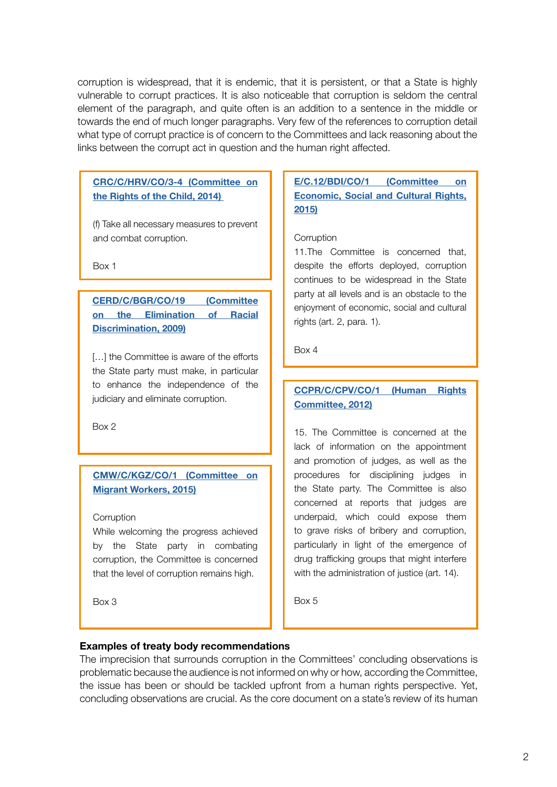corruption is widespread, that it is endemic, that it is persistent, or that a State is highly vulnerable to corrupt practices. It is also noticeable that corruption is seldom the central element of the paragraph, and quite often is an addition to a sentence in the middle or towards the end of much longer paragraphs. Very few of the references to corruption detail what type of corrupt practice is of concern to the Committees and lack reasoning about the links between the corrupt act in question and the human right affected.

#### [CRC/C/HRV/CO/3-4 \(Committee on](http://docstore.ohchr.org/SelfServices/FilesHandler.ashx?enc=6QkG1d%2fPPRiCAqhKb7yhsp7zGar7lD0FuXla4BEx9U7ftQDq0TPw1CFHNLPEe8G%2ffFTZ010rcpvYIzR2qbB51Nlb19f1Z1nUbN1ZkNCIN89jPGKrfbBi%2bAXB7aQiE313)  [the Rights of the Child, 2014\)](http://docstore.ohchr.org/SelfServices/FilesHandler.ashx?enc=6QkG1d%2fPPRiCAqhKb7yhsp7zGar7lD0FuXla4BEx9U7ftQDq0TPw1CFHNLPEe8G%2ffFTZ010rcpvYIzR2qbB51Nlb19f1Z1nUbN1ZkNCIN89jPGKrfbBi%2bAXB7aQiE313)

(f) Take all necessary measures to prevent and combat corruption.

Box 1

[CERD/C/BGR/CO/19 \(Committee](http://docstore.ohchr.org/SelfServices/FilesHandler.ashx?enc=6QkG1d%2fPPRiCAqhKb7yhsnxd3KrJ7ubMiyH8u7xW4OqGrQ%2bW8Lut8HBAmPZv%2fnvdRIS3Hf5OfIMLTUZ%2bSZA8MI%2bUAM2gSswR8mt%2bsvuemp67R15HRWqXaIgqiPTdc3Nq) [on the Elimination of Racial](http://docstore.ohchr.org/SelfServices/FilesHandler.ashx?enc=6QkG1d%2fPPRiCAqhKb7yhsnxd3KrJ7ubMiyH8u7xW4OqGrQ%2bW8Lut8HBAmPZv%2fnvdRIS3Hf5OfIMLTUZ%2bSZA8MI%2bUAM2gSswR8mt%2bsvuemp67R15HRWqXaIgqiPTdc3Nq) [Discrimination, 2009\)](http://docstore.ohchr.org/SelfServices/FilesHandler.ashx?enc=6QkG1d%2fPPRiCAqhKb7yhsnxd3KrJ7ubMiyH8u7xW4OqGrQ%2bW8Lut8HBAmPZv%2fnvdRIS3Hf5OfIMLTUZ%2bSZA8MI%2bUAM2gSswR8mt%2bsvuemp67R15HRWqXaIgqiPTdc3Nq)

[...] the Committee is aware of the efforts the State party must make, in particular to enhance the independence of the judiciary and eliminate corruption.

Box 2

# [CMW/C/KGZ/CO/1 \(Committee on](http://docstore.ohchr.org/SelfServices/FilesHandler.ashx?enc=6QkG1d%2fPPRiCAqhKb7yhsszuxc2b6EcdIVHEGVpVZkqwr2xcOa6KegaPwVEaN1DoTHjqa8kly9tkQ0qc38S6kDkDv2TqjwIC%2bIednvt%2b4yVJ7RTqF24kgnXrcWnOfnHR)  [Migrant Workers, 2015\)](http://docstore.ohchr.org/SelfServices/FilesHandler.ashx?enc=6QkG1d%2fPPRiCAqhKb7yhsszuxc2b6EcdIVHEGVpVZkqwr2xcOa6KegaPwVEaN1DoTHjqa8kly9tkQ0qc38S6kDkDv2TqjwIC%2bIednvt%2b4yVJ7RTqF24kgnXrcWnOfnHR)

#### **Corruption**

While welcoming the progress achieved by the State party in combating corruption, the Committee is concerned that the level of corruption remains high.

Box 3

# [E/C.12/BDI/CO/1 \(Committee on](http://docstore.ohchr.org/SelfServices/FilesHandler.ashx?enc=4slQ6QSmlBEDzFEovLCuW2ORKSh2OIndGp8hWONqCS1yqjUDmk1hhIIrrI9FSEoXpp%2bGi99gnpubDX2kSf%2fGMSL7qHPktX5PrIL7AaHmEaWR9RP2dl2%2fEKvX0zlSSrmx)  [Econo](http://docstore.ohchr.org/SelfServices/FilesHandler.ashx?enc=4slQ6QSmlBEDzFEovLCuW2ORKSh2OIndGp8hWONqCS1yqjUDmk1hhIIrrI9FSEoXpp%2bGi99gnpubDX2kSf%2fGMSL7qHPktX5PrIL7AaHmEaWR9RP2dl2%2fEKvX0zlSSrmx)mic, Social and Cultural Rights, 2015)

#### **Corruption**

11.The Committee is concerned that, despite the efforts deployed, corruption continues to be widespread in the State party at all levels and is an obstacle to the enjoyment of economic, social and cultural rights (art. 2, para. 1).

Box 4

# [CCPR/C/CPV/CO/1 \(Human Rights](http://docstore.ohchr.org/SelfServices/FilesHandler.ashx?enc=6QkG1d%2fPPRiCAqhKb7yhsikAvgdSEJcWV%2buCW8f6BEgBNChwNRi0j%2bsRzXcpayJmqIRbDOUFizORLDTRa3QWUf3YmYJSNmydhxxUO613kAN7rihKsZb22y2%2fhnU%2bnj3k)  [Committee, 2012\)](http://docstore.ohchr.org/SelfServices/FilesHandler.ashx?enc=6QkG1d%2fPPRiCAqhKb7yhsikAvgdSEJcWV%2buCW8f6BEgBNChwNRi0j%2bsRzXcpayJmqIRbDOUFizORLDTRa3QWUf3YmYJSNmydhxxUO613kAN7rihKsZb22y2%2fhnU%2bnj3k)

15. The Committee is concerned at the lack of information on the appointment and promotion of judges, as well as the procedures for disciplining judges in the State party. The Committee is also concerned at reports that judges are underpaid, which could expose them to grave risks of bribery and corruption, particularly in light of the emergence of drug trafficking groups that might interfere with the administration of justice (art. 14).

Box 5

#### Examples of treaty body recommendations

The imprecision that surrounds corruption in the Committees' concluding observations is problematic because the audience is not informed on why or how, according the Committee, the issue has been or should be tackled upfront from a human rights perspective. Yet, concluding observations are crucial. As the core document on a state's review of its human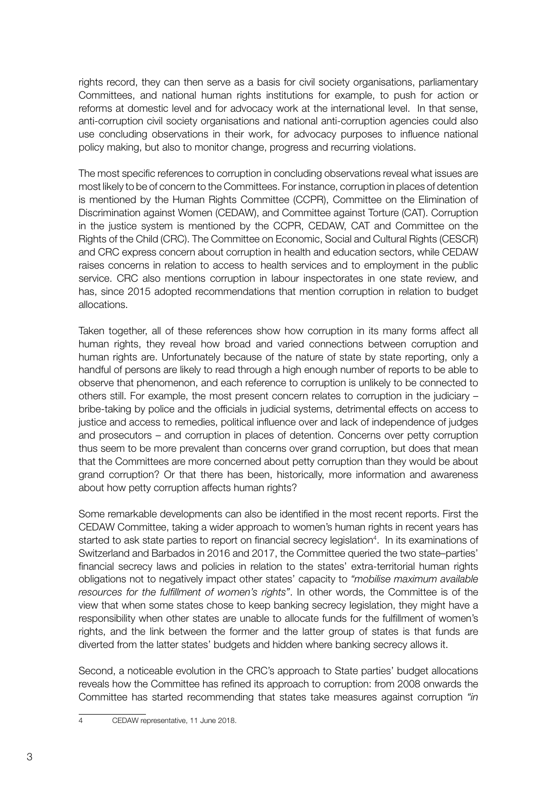rights record, they can then serve as a basis for civil society organisations, parliamentary Committees, and national human rights institutions for example, to push for action or reforms at domestic level and for advocacy work at the international level. In that sense, anti-corruption civil society organisations and national anti-corruption agencies could also use concluding observations in their work, for advocacy purposes to influence national policy making, but also to monitor change, progress and recurring violations.

The most specific references to corruption in concluding observations reveal what issues are most likely to be of concern to the Committees. For instance, corruption in places of detention is mentioned by the Human Rights Committee (CCPR), Committee on the Elimination of Discrimination against Women (CEDAW), and Committee against Torture (CAT). Corruption in the justice system is mentioned by the CCPR, CEDAW, CAT and Committee on the Rights of the Child (CRC). The Committee on Economic, Social and Cultural Rights (CESCR) and CRC express concern about corruption in health and education sectors, while CEDAW raises concerns in relation to access to health services and to employment in the public service. CRC also mentions corruption in labour inspectorates in one state review, and has, since 2015 adopted recommendations that mention corruption in relation to budget allocations.

Taken together, all of these references show how corruption in its many forms affect all human rights, they reveal how broad and varied connections between corruption and human rights are. Unfortunately because of the nature of state by state reporting, only a handful of persons are likely to read through a high enough number of reports to be able to observe that phenomenon, and each reference to corruption is unlikely to be connected to others still. For example, the most present concern relates to corruption in the judiciary – bribe-taking by police and the officials in judicial systems, detrimental effects on access to justice and access to remedies, political influence over and lack of independence of judges and prosecutors – and corruption in places of detention. Concerns over petty corruption thus seem to be more prevalent than concerns over grand corruption, but does that mean that the Committees are more concerned about petty corruption than they would be about grand corruption? Or that there has been, historically, more information and awareness about how petty corruption affects human rights?

Some remarkable developments can also be identified in the most recent reports. First the CEDAW Committee, taking a wider approach to women's human rights in recent years has started to ask state parties to report on financial secrecy legislation<sup>4</sup>. In its examinations of Switzerland and Barbados in 2016 and 2017, the Committee queried the two state–parties' financial secrecy laws and policies in relation to the states' extra-territorial human rights obligations not to negatively impact other states' capacity to *"mobilise maximum available resources for the fulfillment of women's rights"*. In other words, the Committee is of the view that when some states chose to keep banking secrecy legislation, they might have a responsibility when other states are unable to allocate funds for the fulfillment of women's rights, and the link between the former and the latter group of states is that funds are diverted from the latter states' budgets and hidden where banking secrecy allows it.

Second, a noticeable evolution in the CRC's approach to State parties' budget allocations reveals how the Committee has refined its approach to corruption: from 2008 onwards the Committee has started recommending that states take measures against corruption *"in*

<sup>4</sup> CEDAW representative, 11 June 2018.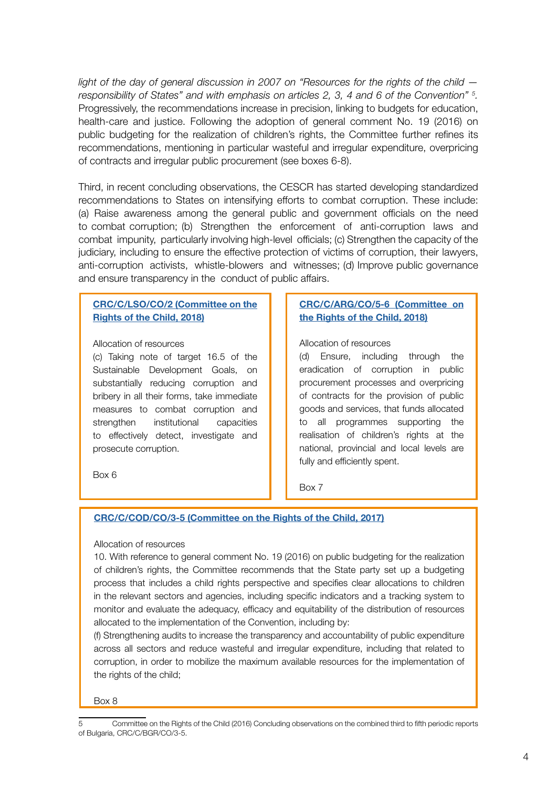*light of the day of general discussion in 2007 on "Resources for the rights of the child responsibility of States" and with emphasis on articles 2, 3, 4 and 6 of the Convention" 5 .* Progressively, the recommendations increase in precision, linking to budgets for education, health-care and justice. Following the adoption of general comment No. 19 (2016) on public budgeting for the realization of children's rights, the Committee further refines its recommendations, mentioning in particular wasteful and irregular expenditure, overpricing of contracts and irregular public procurement (see boxes 6-8).

Third, in recent concluding observations, the CESCR has started developing standardized recommendations to States on intensifying efforts to combat corruption. These include: (a) Raise awareness among the general public and government officials on the need to combat corruption; (b) Strengthen the enforcement of anti-corruption laws and combat impunity, particularly involving high-level officials; (c) Strengthen the capacity of the judiciary, including to ensure the effective protection of victims of corruption, their lawyers, anti-corruption activists, whistle-blowers and witnesses; (d) Improve public governance and ensure transparency in the conduct of public affairs.

#### [CRC/C/LSO/CO/2 \(Committee on the](http://docstore.ohchr.org/SelfServices/FilesHandler.ashx?enc=6QkG1d%2fPPRiCAqhKb7yhsn01wl4stjuALhVy3RP4w5dlgtiq%2bTrlVWG%2bj8JZoohovKzIBsQxbuxJL%2fR4nr3Tc14%2f2r1EUHvvxI5c%2fNqSGVVZTYI%2fnf8pCJTmtEhEQ%2buV) Rights of the Child, 2018)

#### Allocation of resources

(c) Taking note of target 16.5 of the Sustainable Development Goals, on substantially reducing corruption and bribery in all their forms, take immediate measures to combat corruption and strengthen institutional capacities to effectively detect, investigate and prosecute corruption.

#### [CRC/C/ARG/CO/5-6 \(Committee on](https://tbinternet.ohchr.org/Treaties/CRC/Shared%20Documents/ARG/INT_CRC_COC_ARG_31364_E.pdf)  the Rights of the Child, 2018)

#### Allocation of resources

(d) Ensure, including through the eradication of corruption in public procurement processes and overpricing of contracts for the provision of public goods and services, that funds allocated to all programmes supporting the realisation of children's rights at the national, provincial and local levels are fully and efficiently spent.

Box 6

#### Box 7

#### [CRC/C/COD/CO/3-5 \(Committee on the Rights of the Child, 2017\)](http://docstore.ohchr.org/SelfServices/FilesHandler.ashx?enc=6QkG1d%2fPPRiCAqhKb7yhsslb8EdPYmy%2faKZ7pL61o%2f1TZVRQVFuLBcE4wVjVr4nOM1k2QgoSA6%2fx%2f7s6q7GhHL4cq6Jhv5TJD4h2Pb9iFDS4tjBnZK2j3AXlA8XH4dQ4)

#### Allocation of resources

10. With reference to general comment No. 19 (2016) on public budgeting for the realization of children's rights, the Committee recommends that the State party set up a budgeting process that includes a child rights perspective and specifies clear allocations to children in the relevant sectors and agencies, including specific indicators and a tracking system to monitor and evaluate the adequacy, efficacy and equitability of the distribution of resources allocated to the implementation of the Convention, including by:

(f) Strengthening audits to increase the transparency and accountability of public expenditure across all sectors and reduce wasteful and irregular expenditure, including that related to corruption, in order to mobilize the maximum available resources for the implementation of the rights of the child;

Box 8

<sup>5</sup> Committee on the Rights of the Child (2016) Concluding observations on the combined third to fifth periodic reports of Bulgaria, CRC/C/BGR/CO/3-5.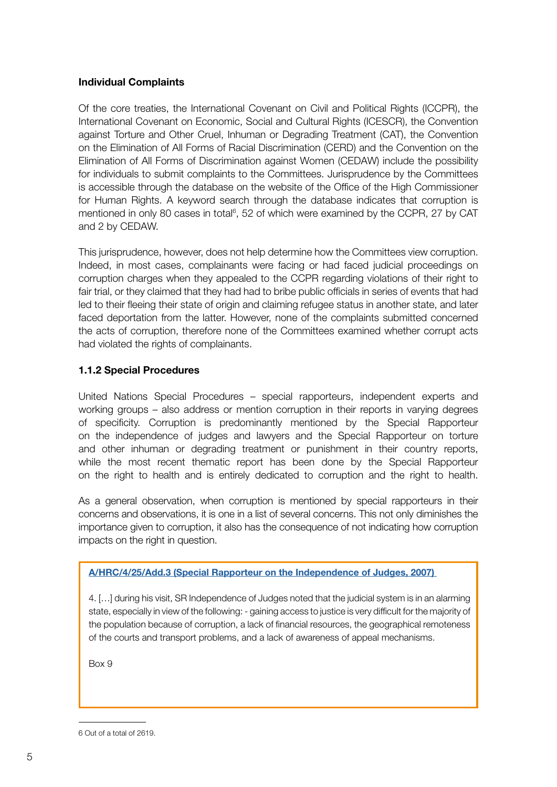#### Individual Complaints

Of the core treaties, the International Covenant on Civil and Political Rights (ICCPR), the International Covenant on Economic, Social and Cultural Rights (ICESCR), the Convention against Torture and Other Cruel, Inhuman or Degrading Treatment (CAT), the Convention on the Elimination of All Forms of Racial Discrimination (CERD) and the Convention on the Elimination of All Forms of Discrimination against Women (CEDAW) include the possibility for individuals to submit complaints to the Committees. Jurisprudence by the Committees is accessible through the database on the website of the Office of the High Commissioner for Human Rights. A keyword search through the database indicates that corruption is mentioned in only 80 cases in total<sup>6</sup>, 52 of which were examined by the CCPR, 27 by CAT and 2 by CEDAW.

This jurisprudence, however, does not help determine how the Committees view corruption. Indeed, in most cases, complainants were facing or had faced judicial proceedings on corruption charges when they appealed to the CCPR regarding violations of their right to fair trial, or they claimed that they had had to bribe public officials in series of events that had led to their fleeing their state of origin and claiming refugee status in another state, and later faced deportation from the latter. However, none of the complaints submitted concerned the acts of corruption, therefore none of the Committees examined whether corrupt acts had violated the rights of complainants.

# 1.1.2 Special Procedures

United Nations Special Procedures – special rapporteurs, independent experts and working groups – also address or mention corruption in their reports in varying degrees of specificity. Corruption is predominantly mentioned by the Special Rapporteur on the independence of judges and lawyers and the Special Rapporteur on torture and other inhuman or degrading treatment or punishment in their country reports, while the most recent thematic report has been done by the Special Rapporteur on the right to health and is entirely dedicated to corruption and the right to health.

As a general observation, when corruption is mentioned by special rapporteurs in their concerns and observations, it is one in a list of several concerns. This not only diminishes the importance given to corruption, it also has the consequence of not indicating how corruption impacts on the right in question.

[A/HRC/4/25/Add.3 \(Special Rapporteur on the Independence of Judges, 2007\)](https://documents-dds-ny.un.org/doc/UNDOC/GEN/G07/126/73/PDF/G0712673.pdf?OpenElement) 

4. […] during his visit, SR Independence of Judges noted that the judicial system is in an alarming state, especially in view of the following: - gaining access to justice is very difficult for the majority of the population because of corruption, a lack of financial resources, the geographical remoteness of the courts and transport problems, and a lack of awareness of appeal mechanisms.

Box 9

<sup>6</sup> Out of a total of 2619.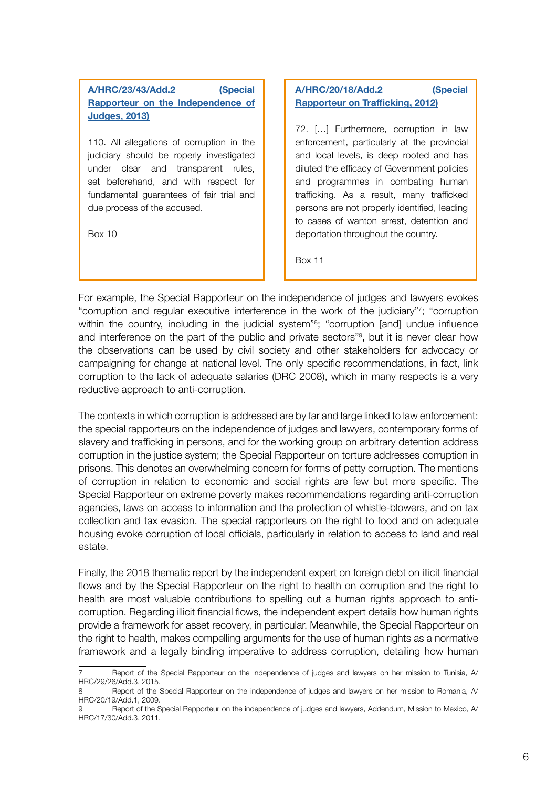# [A/HRC/23/43/Add.2 \(Special](https://documents-dds-ny.un.org/doc/UNDOC/GEN/G13/126/79/PDF/G1312679.pdf?OpenElement) [Rapporteur on](https://documents-dds-ny.un.org/doc/UNDOC/GEN/G13/126/79/PDF/G1312679.pdf?OpenElement) the Independence of Judges, 2013)

110. All allegations of corruption in the judiciary should be roperly investigated under clear and transparent rules, set beforehand, and with respect for fundamental guarantees of fair trial and due process of the accused.

Box 10

# [A/HRC/20/18/Add.2 \(Special](https://documents-dds-ny.un.org/doc/UNDOC/GEN/G12/133/48/PDF/G1213348.pdf?OpenElement) Rapporteur on Trafficking, 2012)

72. […] Furthermore, corruption in law enforcement, particularly at the provincial and local levels, is deep rooted and has diluted the efficacy of Government policies and programmes in combating human trafficking. As a result, many trafficked persons are not properly identified, leading to cases of wanton arrest, detention and deportation throughout the country.

Box 11

For example, the Special Rapporteur on the independence of judges and lawyers evokes "corruption and regular executive interference in the work of the judiciary"7 ; "corruption within the country, including in the judicial system"<sup>8</sup>; "corruption [and] undue influence and interference on the part of the public and private sectors"9 , but it is never clear how the observations can be used by civil society and other stakeholders for advocacy or campaigning for change at national level. The only specific recommendations, in fact, link corruption to the lack of adequate salaries (DRC 2008), which in many respects is a very reductive approach to anti-corruption.

The contexts in which corruption is addressed are by far and large linked to law enforcement: the special rapporteurs on the independence of judges and lawyers, contemporary forms of slavery and trafficking in persons, and for the working group on arbitrary detention address corruption in the justice system; the Special Rapporteur on torture addresses corruption in prisons. This denotes an overwhelming concern for forms of petty corruption. The mentions of corruption in relation to economic and social rights are few but more specific. The Special Rapporteur on extreme poverty makes recommendations regarding anti-corruption agencies, laws on access to information and the protection of whistle-blowers, and on tax collection and tax evasion. The special rapporteurs on the right to food and on adequate housing evoke corruption of local officials, particularly in relation to access to land and real estate.

Finally, the 2018 thematic report by the independent expert on foreign debt on illicit financial flows and by the Special Rapporteur on the right to health on corruption and the right to health are most valuable contributions to spelling out a human rights approach to anticorruption. Regarding illicit financial flows, the independent expert details how human rights provide a framework for asset recovery, in particular. Meanwhile, the Special Rapporteur on the right to health, makes compelling arguments for the use of human rights as a normative framework and a legally binding imperative to address corruption, detailing how human

Report of the Special Rapporteur on the independence of judges and lawyers on her mission to Tunisia, A/ HRC/29/26/Add.3, 2015.

<sup>8</sup> Report of the Special Rapporteur on the independence of judges and lawyers on her mission to Romania, A/ HRC/20/19/Add.1, 2009.

<sup>9</sup> Report of the Special Rapporteur on the independence of judges and lawyers, Addendum, Mission to Mexico, A/ HRC/17/30/Add.3, 2011.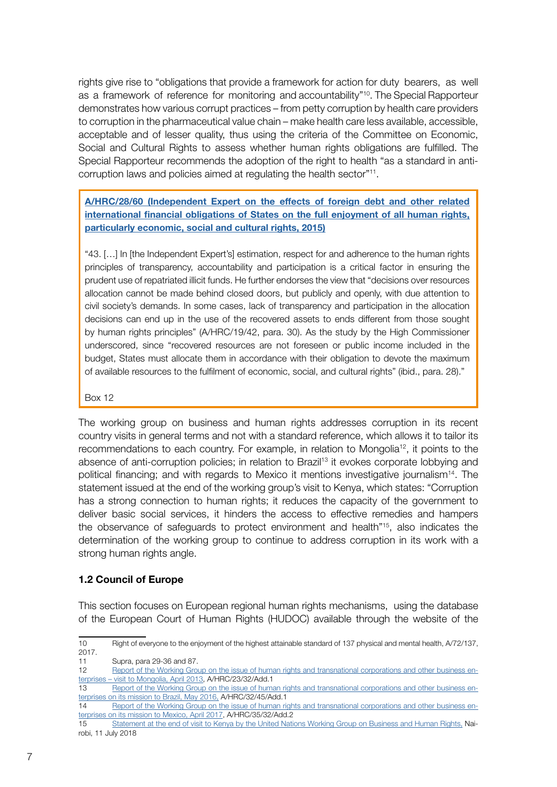rights give rise to "obligations that provide a framework for action for duty bearers, as well as a framework of reference for monitoring and accountability"<sup>10</sup>. The Special Rapporteur demonstrates how various corrupt practices – from petty corruption by health care providers to corruption in the pharmaceutical value chain – make health care less available, accessible, acceptable and of lesser quality, thus using the criteria of the Committee on Economic, Social and Cultural Rights to assess whether human rights obligations are fulfilled. The Special Rapporteur recommends the adoption of the right to health "as a standard in anticorruption laws and policies aimed at regulating the health sector"11.

[A/HRC/28/60 \(Independent Expert on the effects of foreign debt and other related](http://www.undocs.org/A/HRC/28/60) [international financial obligations of States on the ful](http://www.undocs.org/A/HRC/28/60)l enjoyment of all human rights, particularly economic, social and cultural rights, 2015)

"43. […] In [the Independent Expert's] estimation, respect for and adherence to the human rights principles of transparency, accountability and participation is a critical factor in ensuring the prudent use of repatriated illicit funds. He further endorses the view that "decisions over resources allocation cannot be made behind closed doors, but publicly and openly, with due attention to civil society's demands. In some cases, lack of transparency and participation in the allocation decisions can end up in the use of the recovered assets to ends different from those sought by human rights principles" (A/HRC/19/42, para. 30). As the study by the High Commissioner underscored, since "recovered resources are not foreseen or public income included in the budget, States must allocate them in accordance with their obligation to devote the maximum of available resources to the fulfilment of economic, social, and cultural rights" (ibid., para. 28)."

#### Box 12

The working group on business and human rights addresses corruption in its recent country visits in general terms and not with a standard reference, which allows it to tailor its recommendations to each country. For example, in relation to Mongolia12, it points to the absence of anti-corruption policies; in relation to Brazil<sup>13</sup> it evokes corporate lobbying and political financing; and with regards to Mexico it mentions investigative journalism<sup>14</sup>. The statement issued at the end of the working group's visit to Kenya, which states: "Corruption has a strong connection to human rights; it reduces the capacity of the government to deliver basic social services, it hinders the access to effective remedies and hampers the observance of safeguards to protect environment and health"15, also indicates the determination of the working group to continue to address corruption in its work with a strong human rights angle.

#### 1.2 Council of Europe

This section focuses on European regional human rights mechanisms, using the database of the European Court of Human Rights (HUDOC) available through the website of the

<sup>10</sup> Right of everyone to the enjoyment of the highest attainable standard of 137 physical and mental health, A/72/137, 2017.

<sup>11</sup> Supra, para 29-36 and 87.

<sup>12</sup> [Report of the Working Group on the issue of human rights and transnational corporations and other business en](https://documents-dds-ny.un.org/doc/UNDOC/GEN/G13/126/21/PDF/G1312621.pdf?OpenElement)[terprises – visit to Mongolia, April 2013](https://documents-dds-ny.un.org/doc/UNDOC/GEN/G13/126/21/PDF/G1312621.pdf?OpenElement), A/HRC/23/32/Add.1

<sup>13</sup> [Report of the Working Group on the issue of human rights and transnational corporations and other business en](https://documents-dds-ny.un.org/doc/UNDOC/GEN/G16/096/43/PDF/G1609643.pdf?OpenElement)[terprises on its mission to Brazil, May 2016,](https://documents-dds-ny.un.org/doc/UNDOC/GEN/G16/096/43/PDF/G1609643.pdf?OpenElement) A/HRC/32/45/Add.1

<sup>14</sup> [Report of the Working Group on the issue of human rights and transnational corporations and other business en](http://www.refworld.org/docid/593aaf054.html)[terprises on its mission to Mexico, April 2017](http://www.refworld.org/docid/593aaf054.html), A/HRC/35/32/Add.2

<sup>15</sup> [Statement at the end of visit to Kenya by the United Nations Working Group on Business and Human Rights,](https://www.ohchr.org/EN/NewsEvents/Pages/DisplayNews.aspx?NewsID=23356&LangID=E) Nairobi, 11 July 2018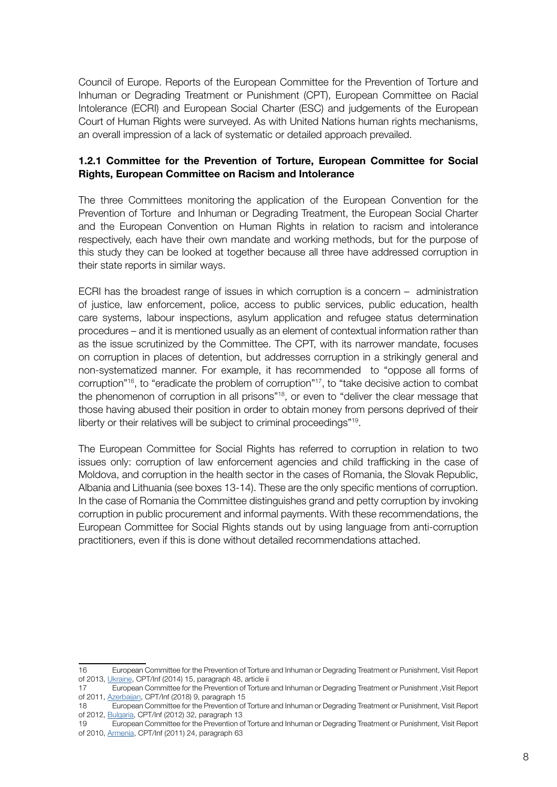Council of Europe. Reports of the European Committee for the Prevention of Torture and Inhuman or Degrading Treatment or Punishment (CPT), European Committee on Racial Intolerance (ECRI) and European Social Charter (ESC) and judgements of the European Court of Human Rights were surveyed. As with United Nations human rights mechanisms, an overall impression of a lack of systematic or detailed approach prevailed.

#### 1.2.1 Committee for the Prevention of Torture, European Committee for Social Rights, European Committee on Racism and Intolerance

The three Committees monitoring the application of the European Convention for the Prevention of Torture and Inhuman or Degrading Treatment, the European Social Charter and the European Convention on Human Rights in relation to racism and intolerance respectively, each have their own mandate and working methods, but for the purpose of this study they can be looked at together because all three have addressed corruption in their state reports in similar ways.

ECRI has the broadest range of issues in which corruption is a concern – administration of justice, law enforcement, police, access to public services, public education, health care systems, labour inspections, asylum application and refugee status determination procedures – and it is mentioned usually as an element of contextual information rather than as the issue scrutinized by the Committee. The CPT, with its narrower mandate, focuses on corruption in places of detention, but addresses corruption in a strikingly general and non-systematized manner. For example, it has recommended to "oppose all forms of corruption"16, to "eradicate the problem of corruption"17, to "take decisive action to combat the phenomenon of corruption in all prisons"18, or even to "deliver the clear message that those having abused their position in order to obtain money from persons deprived of their liberty or their relatives will be subject to criminal proceedings"19.

The European Committee for Social Rights has referred to corruption in relation to two issues only: corruption of law enforcement agencies and child trafficking in the case of Moldova, and corruption in the health sector in the cases of Romania, the Slovak Republic, Albania and Lithuania (see boxes 13-14). These are the only specific mentions of corruption. In the case of Romania the Committee distinguishes grand and petty corruption by invoking corruption in public procurement and informal payments. With these recommendations, the European Committee for Social Rights stands out by using language from anti-corruption practitioners, even if this is done without detailed recommendations attached.

<sup>16</sup> European Committee for the Prevention of Torture and Inhuman or Degrading Treatment or Punishment, Visit Report of 2013, [Ukraine](https://hudoc.cpt.coe.int/eng#{"sort":["CPTDocumentDate Descending,CPTDocumentID Ascending,CPTSectionNumber Ascending"],"CPTSectionID":["p-ukr-20131009-en-15"]}), CPT/Inf (2014) 15, paragraph 48, article ii

<sup>17</sup> European Committee for the Prevention of Torture and Inhuman or Degrading Treatment or Punishment ,Visit Report of 2011, [Azerbaijan,](https://hudoc.cpt.coe.int/eng#{"sort":["CPTDocumentDate Descending,CPTDocumentID Ascending,CPTSectionNumber Ascending"],"CPTSectionID":["p-aze-20111205-en-5"]}) CPT/Inf (2018) 9, paragraph 15

<sup>18</sup> European Committee for the Prevention of Torture and Inhuman or Degrading Treatment or Punishment, Visit Report of 2012, [Bulgaria,](https://hudoc.cpt.coe.int/eng#{"sort":["CPTDocumentDate Descending,CPTDocumentID Ascending,CPTSectionNumber Ascending"],"CPTSectionID":["p-bgr-20120504-en-5"]}) CPT/Inf (2012) 32, paragraph 13

<sup>19</sup> European Committee for the Prevention of Torture and Inhuman or Degrading Treatment or Punishment, Visit Report of 2010, [Armenia](https://hudoc.cpt.coe.int/eng#{"sort":["CPTDocumentDate Descending,CPTDocumentID Ascending,CPTSectionNumber Ascending"],"CPTSectionID":["p-arm-20100510-en-17"]}), CPT/Inf (2011) 24, paragraph 63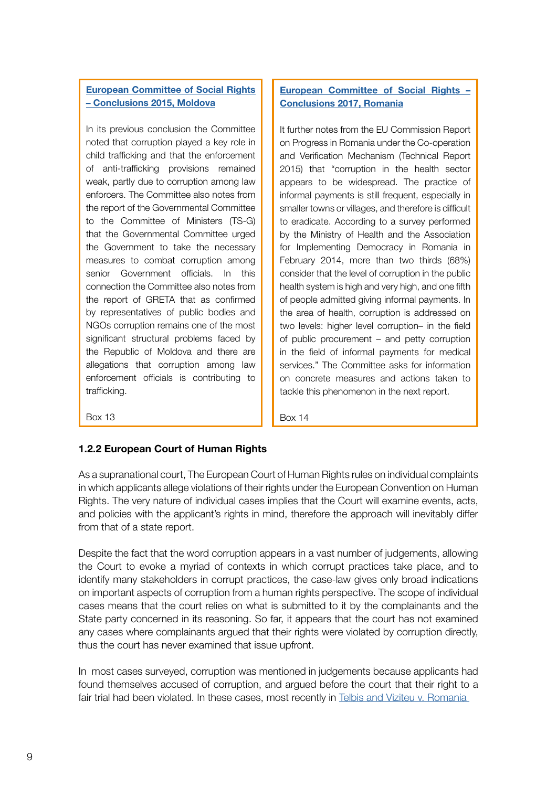# [European Committee of Social Rights](https://hudoc.esc.coe.int/eng#{%22ESCDcIdentifier%22:[%222015/def/MDA/7/10/EN%22]}) – Conclusions 2015, Moldova

In its previous conclusion the Committee noted that corruption played a key role in child trafficking and that the enforcement of anti-trafficking provisions remained weak, partly due to corruption among law enforcers. The Committee also notes from the report of the Governmental Committee to the Committee of Ministers (TS-G) that the Governmental Committee urged the Government to take the necessary measures to combat corruption among senior Government officials. In this connection the Committee also notes from the report of GRETA that as confirmed by representatives of public bodies and NGOs corruption remains one of the most significant structural problems faced by the Republic of Moldova and there are allegations that corruption among law enforcement officials is contributing to trafficking.

# [European Committee of Social Rights –](https://hudoc.esc.coe.int/eng#{%22ESCDcIdentifier%22:[%222017/def/ROU/11/1/EN%22]}) Conclusions 2017, Romania

It further notes from the EU Commission Report on Progress in Romania under the Co-operation and Verification Mechanism (Technical Report 2015) that "corruption in the health sector appears to be widespread. The practice of informal payments is still frequent, especially in smaller towns or villages, and therefore is difficult to eradicate. According to a survey performed by the Ministry of Health and the Association for Implementing Democracy in Romania in February 2014, more than two thirds (68%) consider that the level of corruption in the public health system is high and very high, and one fifth of people admitted giving informal payments. In the area of health, corruption is addressed on two levels: higher level corruption– in the field of public procurement – and petty corruption in the field of informal payments for medical services." The Committee asks for information on concrete measures and actions taken to tackle this phenomenon in the next report.

Box 13

Box 14

# 1.2.2 European Court of Human Rights

As a supranational court, The European Court of Human Rights rules on individual complaints in which applicants allege violations of their rights under the European Convention on Human Rights. The very nature of individual cases implies that the Court will examine events, acts, and policies with the applicant's rights in mind, therefore the approach will inevitably differ from that of a state report.

Despite the fact that the word corruption appears in a vast number of judgements, allowing the Court to evoke a myriad of contexts in which corrupt practices take place, and to identify many stakeholders in corrupt practices, the case-law gives only broad indications on important aspects of corruption from a human rights perspective. The scope of individual cases means that the court relies on what is submitted to it by the complainants and the State party concerned in its reasoning. So far, it appears that the court has not examined any cases where complainants argued that their rights were violated by corruption directly, thus the court has never examined that issue upfront.

In most cases surveyed, corruption was mentioned in judgements because applicants had found themselves accused of corruption, and argued before the court that their right to a fair trial had been violated. In these cases, most recently in [Telbis and Viziteu v. Romania](https://hudoc.echr.coe.int/eng#{%22itemid%22:[%22001-184058%22]})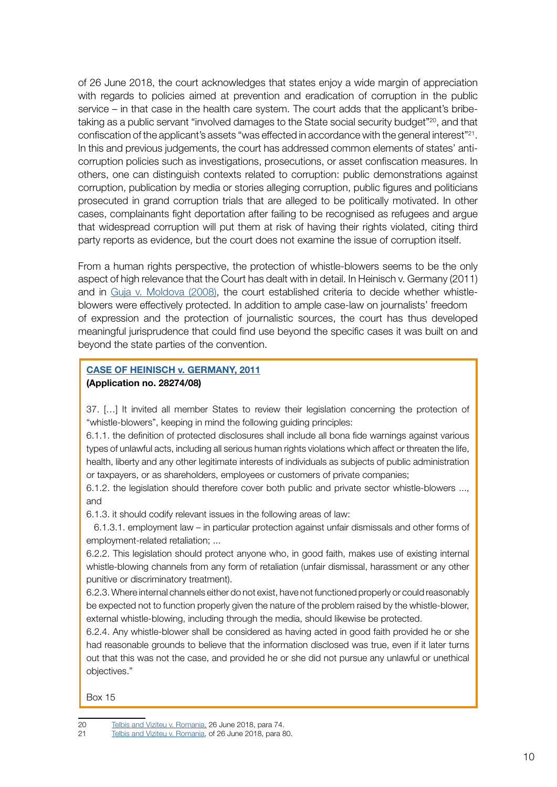of 26 June 2018, the court acknowledges that states enjoy a wide margin of appreciation with regards to policies aimed at prevention and eradication of corruption in the public service – in that case in the health care system. The court adds that the applicant's bribetaking as a public servant "involved damages to the State social security budget"<sup>20</sup>, and that confiscation of the applicant's assets "was effected in accordance with the general interest"21. In this and previous judgements, the court has addressed common elements of states' anticorruption policies such as investigations, prosecutions, or asset confiscation measures. In others, one can distinguish contexts related to corruption: public demonstrations against corruption, publication by media or stories alleging corruption, public figures and politicians prosecuted in grand corruption trials that are alleged to be politically motivated. In other cases, complainants fight deportation after failing to be recognised as refugees and argue that widespread corruption will put them at risk of having their rights violated, citing third party reports as evidence, but the court does not examine the issue of corruption itself.

From a human rights perspective, the protection of whistle-blowers seems to be the only aspect of high relevance that the Court has dealt with in detail. In Heinisch v. Germany (2011) and in [Guja v. Moldova \(2008\)](https://hudoc.echr.coe.int/eng#{"itemid":["001-85016"]}), the court established criteria to decide whether whistleblowers were effectively protected. In addition to ample case-law on journalists' freedom of expression and the protection of journalistic sources, the court has thus developed meaningful jurisprudence that could find use beyond the specific cases it was built on and beyond the state parties of the convention.

#### [CASE OF HEINISCH v. GERMANY, 2011](https://hudoc.echr.coe.int/eng#{%22itemid%22:[%22001-105777%22]}) (Application no. 28274/08)

37. […] It invited all member States to review their legislation concerning the protection of "whistle-blowers", keeping in mind the following guiding principles:

6.1.1. the definition of protected disclosures shall include all bona fide warnings against various types of unlawful acts, including all serious human rights violations which affect or threaten the life, health, liberty and any other legitimate interests of individuals as subjects of public administration or taxpayers, or as shareholders, employees or customers of private companies;

6.1.2. the legislation should therefore cover both public and private sector whistle-blowers ..., and

6.1.3. it should codify relevant issues in the following areas of law:

 6.1.3.1. employment law – in particular protection against unfair dismissals and other forms of employment-related retaliation; ...

6.2.2. This legislation should protect anyone who, in good faith, makes use of existing internal whistle-blowing channels from any form of retaliation (unfair dismissal, harassment or any other punitive or discriminatory treatment).

6.2.3. Where internal channels either do not exist, have not functioned properly or could reasonably be expected not to function properly given the nature of the problem raised by the whistle-blower, external whistle-blowing, including through the media, should likewise be protected.

6.2.4. Any whistle-blower shall be considered as having acted in good faith provided he or she had reasonable grounds to believe that the information disclosed was true, even if it later turns out that this was not the case, and provided he or she did not pursue any unlawful or unethical objectives."

Box 15

 $1<sub>0</sub>$ 

<sup>20</sup> [Telbis and Viziteu v. Romania,](https://hudoc.echr.coe.int/eng#{"itemid":["001-184058"]}) 26 June 2018, para 74.

<sup>21</sup> [Telbis and Viziteu v. Romania,](https://hudoc.echr.coe.int/eng#{"itemid":["001-184058"]}) of 26 June 2018, para 80.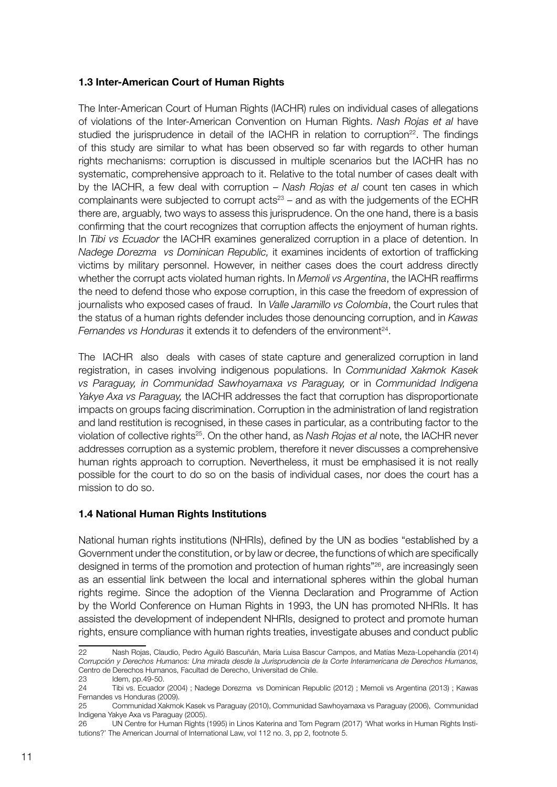#### 1.3 Inter-American Court of Human Rights

The Inter-American Court of Human Rights (IACHR) rules on individual cases of allegations of violations of the Inter-American Convention on Human Rights. *Nash Rojas et al* have studied the jurisprudence in detail of the IACHR in relation to corruption<sup>22</sup>. The findings of this study are similar to what has been observed so far with regards to other human rights mechanisms: corruption is discussed in multiple scenarios but the IACHR has no systematic, comprehensive approach to it. Relative to the total number of cases dealt with by the IACHR, a few deal with corruption – *Nash Rojas et al* count ten cases in which complainants were subjected to corrupt acts $23 -$  and as with the judgements of the ECHR there are, arguably, two ways to assess this jurisprudence. On the one hand, there is a basis confirming that the court recognizes that corruption affects the enjoyment of human rights. In *Tibi vs Ecuador* the IACHR examines generalized corruption in a place of detention. In *Nadege Dorezma vs Dominican Republic,* it examines incidents of extortion of trafficking victims by military personnel. However, in neither cases does the court address directly whether the corrupt acts violated human rights. In *Memoli vs Argentina*, the IACHR reaffirms the need to defend those who expose corruption, in this case the freedom of expression of journalists who exposed cases of fraud. In *Valle Jaramillo vs Colombia*, the Court rules that the status of a human rights defender includes those denouncing corruption, and in *Kawas Fernandes vs Honduras* it extends it to defenders of the environment<sup>24</sup>.

The IACHR also deals with cases of state capture and generalized corruption in land registration, in cases involving indigenous populations. In *Communidad Xakmok Kasek vs Paraguay, in Communidad Sawhoyamaxa vs Paraguay,* or in *Communidad Indigena Yakye Axa vs Paraguay,* the IACHR addresses the fact that corruption has disproportionate impacts on groups facing discrimination. Corruption in the administration of land registration and land restitution is recognised, in these cases in particular, as a contributing factor to the violation of collective rights25. On the other hand, as *Nash Rojas et al* note, the IACHR never addresses corruption as a systemic problem, therefore it never discusses a comprehensive human rights approach to corruption. Nevertheless, it must be emphasised it is not really possible for the court to do so on the basis of individual cases, nor does the court has a mission to do so.

#### 1.4 National Human Rights Institutions

National human rights institutions (NHRIs), defined by the UN as bodies "established by a Government under the constitution, or by law or decree, the functions of which are specifically designed in terms of the promotion and protection of human rights"26, are increasingly seen as an essential link between the local and international spheres within the global human rights regime. Since the adoption of the Vienna Declaration and Programme of Action by the World Conference on Human Rights in 1993, the UN has promoted NHRIs. It has assisted the development of independent NHRIs, designed to protect and promote human rights, ensure compliance with human rights treaties, investigate abuses and conduct public

<sup>22</sup> Nash Rojas, Claudio, Pedro Aguiló Bascuñán, María Luisa Bascur Campos, and Matías Meza-Lopehandía (2014) *Corrupción y Derechos Humanos: Una mirada desde la Jurisprudencia de la Corte Interamericana de Derechos Humanos,*  Centro de Derechos Humanos, Facultad de Derecho, Universitad de Chile.

<sup>23</sup> Idem, pp.49-50.

<sup>24</sup> Tibi vs. Ecuador (2004) ; Nadege Dorezma vs Dominican Republic (2012) ; Memoli vs Argentina (2013) ; Kawas Fernandes vs Honduras (2009).

<sup>25</sup> Communidad Xakmok Kasek vs Paraguay (2010), Communidad Sawhoyamaxa vs Paraguay (2006), Communidad Indigena Yakye Axa vs Paraguay (2005).

<sup>26</sup> UN Centre for Human Rights (1995) in Linos Katerina and Tom Pegram (2017) 'What works in Human Rights Institutions?' The American Journal of International Law, vol 112 no. 3, pp 2, footnote 5.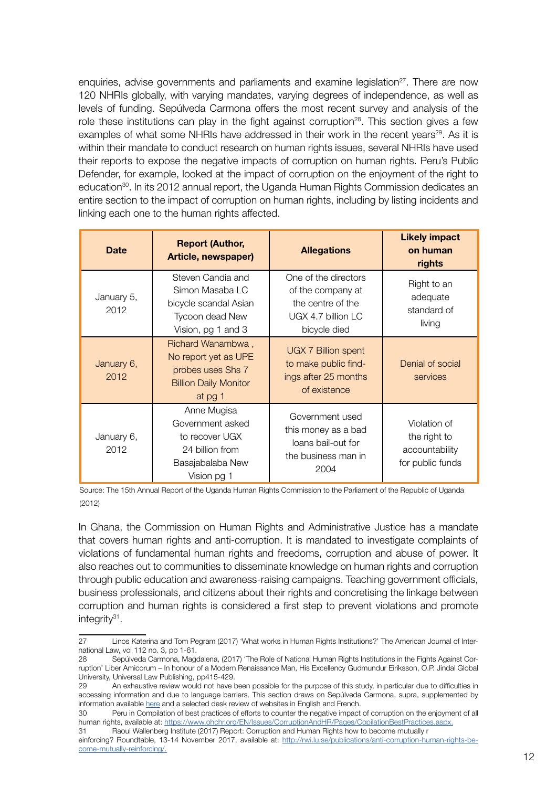enquiries, advise governments and parliaments and examine legislation<sup>27</sup>. There are now 120 NHRIs globally, with varying mandates, varying degrees of independence, as well as levels of funding. Sepúlveda Carmona offers the most recent survey and analysis of the role these institutions can play in the fight against corruption<sup>28</sup>. This section gives a few examples of what some NHRIs have addressed in their work in the recent years<sup>29</sup>. As it is within their mandate to conduct research on human rights issues, several NHRIs have used their reports to expose the negative impacts of corruption on human rights. Peru's Public Defender, for example, looked at the impact of corruption on the enjoyment of the right to education<sup>30</sup>. In its 2012 annual report, the Uganda Human Rights Commission dedicates an entire section to the impact of corruption on human rights, including by listing incidents and linking each one to the human rights affected.

| <b>Date</b>        | <b>Report (Author,</b><br>Article, newspaper)                                                             | <b>Allegations</b>                                                                                   | <b>Likely impact</b><br>on human<br>rights                         |
|--------------------|-----------------------------------------------------------------------------------------------------------|------------------------------------------------------------------------------------------------------|--------------------------------------------------------------------|
| January 5,<br>2012 | Steven Candia and<br>Simon Masaba LC<br>bicycle scandal Asian<br>Tycoon dead New<br>Vision, pg 1 and 3    | One of the directors<br>of the company at<br>the centre of the<br>UGX 4.7 billion LC<br>bicycle died | Right to an<br>adequate<br>standard of<br>living                   |
| January 6,<br>2012 | Richard Wanambwa,<br>No report yet as UPE<br>probes uses Shs 7<br><b>Billion Daily Monitor</b><br>at pg 1 | <b>UGX 7 Billion spent</b><br>to make public find-<br>ings after 25 months<br>of existence           | Denial of social<br>services                                       |
| January 6,<br>2012 | Anne Mugisa<br>Government asked<br>to recover UGX<br>24 billion from<br>Basajabalaba New<br>Vision pg 1   | Government used<br>this money as a bad<br>loans bail-out for<br>the business man in<br>2004          | Violation of<br>the right to<br>accountability<br>for public funds |

Source: The 15th Annual Report of the Uganda Human Rights Commission to the Parliament of the Republic of Uganda (2012)

In Ghana, the Commission on Human Rights and Administrative Justice has a mandate that covers human rights and anti-corruption. It is mandated to investigate complaints of violations of fundamental human rights and freedoms, corruption and abuse of power. It also reaches out to communities to disseminate knowledge on human rights and corruption through public education and awareness-raising campaigns. Teaching government officials, business professionals, and citizens about their rights and concretising the linkage between corruption and human rights is considered a first step to prevent violations and promote integrity31.

31 Raoul Wallenberg Institute (2017) Report: Corruption and Human Rights how to become mutually r

einforcing? Roundtable, 13-14 November 2017, available at: [http://rwi.lu.se/publications/anti-corruption-human-rights-be](http://rwi.lu.se/publications/anti-corruption-human-rights-become-mutually-reinforcing/)[come-mutually-reinforcing/.](http://rwi.lu.se/publications/anti-corruption-human-rights-become-mutually-reinforcing/)

<sup>27</sup> Linos Katerina and Tom Pegram (2017) 'What works in Human Rights Institutions?' The American Journal of International Law, vol 112 no. 3, pp 1-61.

<sup>28</sup> Sepúlveda Carmona, Magdalena, (2017) 'The Role of National Human Rights Institutions in the Fights Against Corruption' Liber Amicorum – In honour of a Modern Renaissance Man, His Excellency Gudmundur Eiriksson, O.P. Jindal Global University, Universal Law Publishing, pp415-429.

<sup>29</sup> An exhaustive review would not have been possible for the purpose of this study, in particular due to difficulties in accessing information and due to language barriers. This section draws on Sepúlveda Carmona, supra, supplemented by information available [here](https://www.ohchr.org/EN/Issues/CorruptionAndHR/Pages/CopilationBestPractices.aspx) and a selected desk review of websites in English and French.

<sup>30</sup> Peru in Compilation of best practices of efforts to counter the negative impact of corruption on the enjoyment of all human rights, available at: [https://www.ohchr.org/EN/Issues/CorruptionAndHR/Pages/CopilationBestPractices.aspx.](https://www.ohchr.org/EN/Issues/CorruptionAndHR/Pages/CopilationBestPractices.aspx)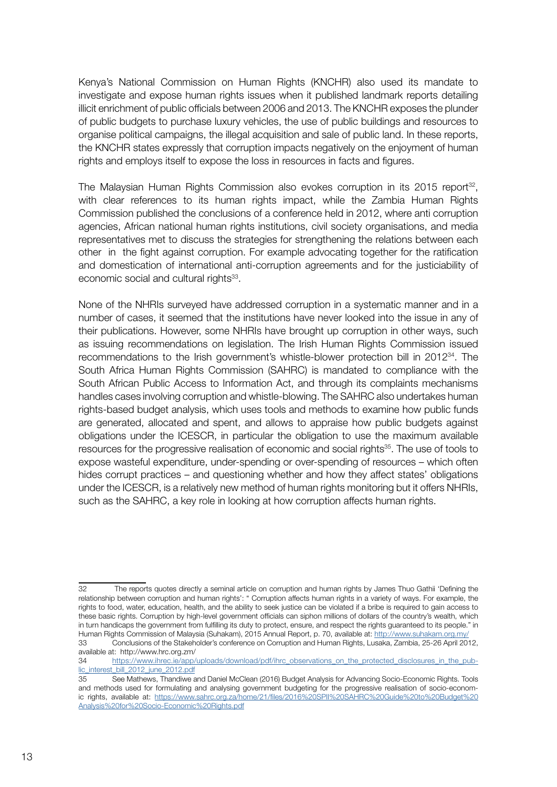Kenya's National Commission on Human Rights (KNCHR) also used its mandate to investigate and expose human rights issues when it published landmark reports detailing illicit enrichment of public officials between 2006 and 2013. The KNCHR exposes the plunder of public budgets to purchase luxury vehicles, the use of public buildings and resources to organise political campaigns, the illegal acquisition and sale of public land. In these reports, the KNCHR states expressly that corruption impacts negatively on the enjoyment of human rights and employs itself to expose the loss in resources in facts and figures.

The Malaysian Human Rights Commission also evokes corruption in its 2015 report<sup>32</sup>, with clear references to its human rights impact, while the Zambia Human Rights Commission published the conclusions of a conference held in 2012, where anti corruption agencies, African national human rights institutions, civil society organisations, and media representatives met to discuss the strategies for strengthening the relations between each other in the fight against corruption. For example advocating together for the ratification and domestication of international anti-corruption agreements and for the justiciability of economic social and cultural rights<sup>33</sup>.

None of the NHRIs surveyed have addressed corruption in a systematic manner and in a number of cases, it seemed that the institutions have never looked into the issue in any of their publications. However, some NHRIs have brought up corruption in other ways, such as issuing recommendations on legislation. The Irish Human Rights Commission issued recommendations to the Irish government's whistle-blower protection bill in 201234. The South Africa Human Rights Commission (SAHRC) is mandated to compliance with the South African Public Access to Information Act, and through its complaints mechanisms handles cases involving corruption and whistle-blowing. The SAHRC also undertakes human rights-based budget analysis, which uses tools and methods to examine how public funds are generated, allocated and spent, and allows to appraise how public budgets against obligations under the ICESCR, in particular the obligation to use the maximum available resources for the progressive realisation of economic and social rights35. The use of tools to expose wasteful expenditure, under-spending or over-spending of resources – which often hides corrupt practices – and questioning whether and how they affect states' obligations under the ICESCR, is a relatively new method of human rights monitoring but it offers NHRIs, such as the SAHRC, a key role in looking at how corruption affects human rights.

<sup>32</sup> The reports quotes directly a seminal article on corruption and human rights by James Thuo Gathii 'Defining the relationship between corruption and human rights': " Corruption affects human rights in a variety of ways. For example, the rights to food, water, education, health, and the ability to seek justice can be violated if a bribe is required to gain access to these basic rights. Corruption by high-level government officials can siphon millions of dollars of the country's wealth, which in turn handicaps the government from fulfilling its duty to protect, ensure, and respect the rights guaranteed to its people." in Human Rights Commission of Malaysia (Suhakam), 2015 Annual Report, p. 70, available at:<http://www.suhakam.org.my/>

<sup>33</sup> Conclusions of the Stakeholder's conference on Corruption and Human Rights, Lusaka, Zambia, 25-26 April 2012, available at: http://www.hrc.org.zm/

<sup>34</sup> [https://www.ihrec.ie/app/uploads/download/pdf/ihrc\\_observations\\_on\\_the\\_protected\\_disclosures\\_in\\_the\\_pub](https://www.ihrec.ie/app/uploads/download/pdf/ihrc_observations_on_the_protected_disclosures_in_the_public_interest_bill_2012_june_2012.pdf)[lic\\_interest\\_bill\\_2012\\_june\\_2012.pdf](https://www.ihrec.ie/app/uploads/download/pdf/ihrc_observations_on_the_protected_disclosures_in_the_public_interest_bill_2012_june_2012.pdf)

<sup>35</sup> See Mathews, Thandiwe and Daniel McClean (2016) Budget Analysis for Advancing Socio-Economic Rights. Tools and methods used for formulating and analysing government budgeting for the progressive realisation of socio-economic rights, available at: [https://www.sahrc.org.za/home/21/files/2016%20SPII%20SAHRC%20Guide%20to%20Budget%20](https://www.sahrc.org.za/home/21/files/2016%20SPII%20SAHRC%20Guide%20to%20Budget%20Analysis%20for%20Socio-Economic%20Rights.pdf) [Analysis%20for%20Socio-Economic%20Rights.pdf](https://www.sahrc.org.za/home/21/files/2016%20SPII%20SAHRC%20Guide%20to%20Budget%20Analysis%20for%20Socio-Economic%20Rights.pdf)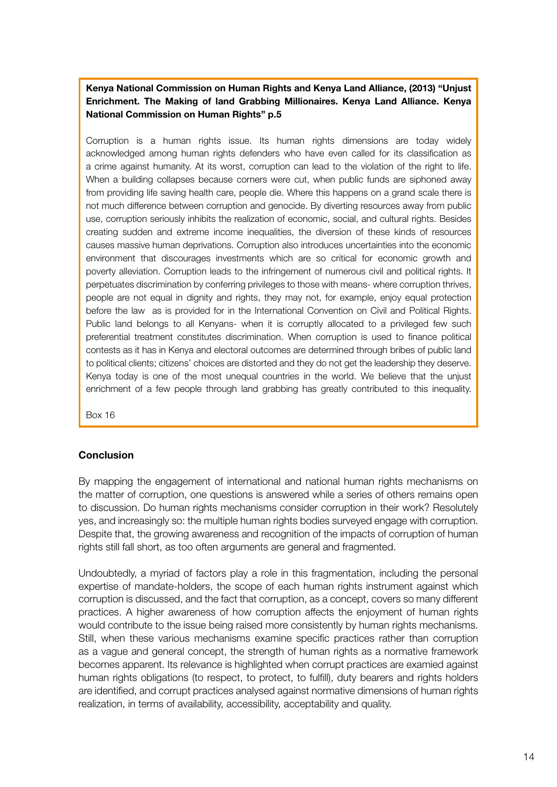#### Kenya National Commission on Human Rights and Kenya Land Alliance, (2013) "Unjust Enrichment. The Making of land Grabbing Millionaires. Kenya Land Alliance. Kenya National Commission on Human Rights" p.5

Corruption is a human rights issue. Its human rights dimensions are today widely acknowledged among human rights defenders who have even called for its classification as a crime against humanity. At its worst, corruption can lead to the violation of the right to life. When a building collapses because corners were cut, when public funds are siphoned away from providing life saving health care, people die. Where this happens on a grand scale there is not much difference between corruption and genocide. By diverting resources away from public use, corruption seriously inhibits the realization of economic, social, and cultural rights. Besides creating sudden and extreme income inequalities, the diversion of these kinds of resources causes massive human deprivations. Corruption also introduces uncertainties into the economic environment that discourages investments which are so critical for economic growth and poverty alleviation. Corruption leads to the infringement of numerous civil and political rights. It perpetuates discrimination by conferring privileges to those with means- where corruption thrives, people are not equal in dignity and rights, they may not, for example, enjoy equal protection before the law as is provided for in the International Convention on Civil and Political Rights. Public land belongs to all Kenyans- when it is corruptly allocated to a privileged few such preferential treatment constitutes discrimination. When corruption is used to finance political contests as it has in Kenya and electoral outcomes are determined through bribes of public land to political clients; citizens' choices are distorted and they do not get the leadership they deserve. Kenya today is one of the most unequal countries in the world. We believe that the unjust enrichment of a few people through land grabbing has greatly contributed to this inequality.

Box 16

#### **Conclusion**

By mapping the engagement of international and national human rights mechanisms on the matter of corruption, one questions is answered while a series of others remains open to discussion. Do human rights mechanisms consider corruption in their work? Resolutely yes, and increasingly so: the multiple human rights bodies surveyed engage with corruption. Despite that, the growing awareness and recognition of the impacts of corruption of human rights still fall short, as too often arguments are general and fragmented.

Undoubtedly, a myriad of factors play a role in this fragmentation, including the personal expertise of mandate-holders, the scope of each human rights instrument against which corruption is discussed, and the fact that corruption, as a concept, covers so many different practices. A higher awareness of how corruption affects the enjoyment of human rights would contribute to the issue being raised more consistently by human rights mechanisms. Still, when these various mechanisms examine specific practices rather than corruption as a vague and general concept, the strength of human rights as a normative framework becomes apparent. Its relevance is highlighted when corrupt practices are examied against human rights obligations (to respect, to protect, to fulfill), duty bearers and rights holders are identified, and corrupt practices analysed against normative dimensions of human rights realization, in terms of availability, accessibility, acceptability and quality.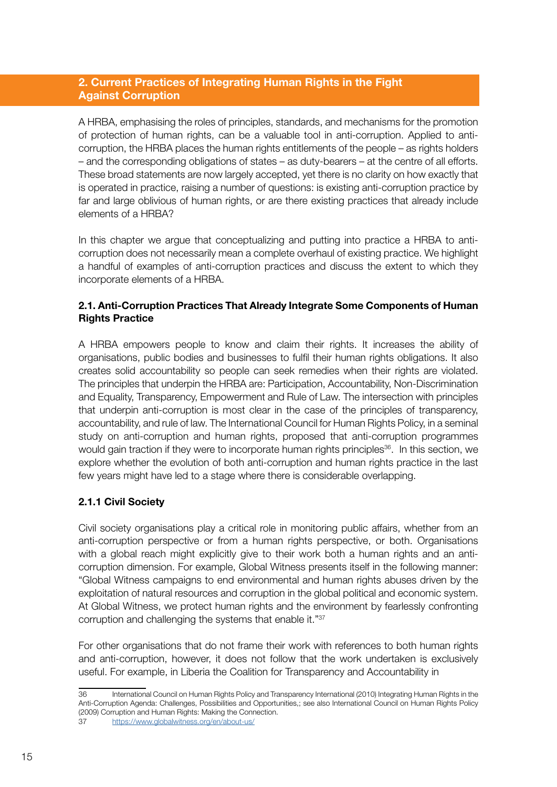# 2. Current Practices of Integrating Human Rights in the Fight Against Corruption

A HRBA, emphasising the roles of principles, standards, and mechanisms for the promotion of protection of human rights, can be a valuable tool in anti-corruption. Applied to anticorruption, the HRBA places the human rights entitlements of the people – as rights holders – and the corresponding obligations of states – as duty-bearers – at the centre of all efforts. These broad statements are now largely accepted, yet there is no clarity on how exactly that is operated in practice, raising a number of questions: is existing anti-corruption practice by far and large oblivious of human rights, or are there existing practices that already include elements of a HRBA?

In this chapter we argue that conceptualizing and putting into practice a HRBA to anticorruption does not necessarily mean a complete overhaul of existing practice. We highlight a handful of examples of anti-corruption practices and discuss the extent to which they incorporate elements of a HRBA.

# 2.1. Anti-Corruption Practices That Already Integrate Some Components of Human Rights Practice

A HRBA empowers people to know and claim their rights. It increases the ability of organisations, public bodies and businesses to fulfil their human rights obligations. It also creates solid accountability so people can seek remedies when their rights are violated. The principles that underpin the HRBA are: Participation, Accountability, Non-Discrimination and Equality, Transparency, Empowerment and Rule of Law. The intersection with principles that underpin anti-corruption is most clear in the case of the principles of transparency, accountability, and rule of law. The International Council for Human Rights Policy, in a seminal study on anti-corruption and human rights, proposed that anti-corruption programmes would gain traction if they were to incorporate human rights principles<sup>36</sup>. In this section, we explore whether the evolution of both anti-corruption and human rights practice in the last few years might have led to a stage where there is considerable overlapping.

# 2.1.1 Civil Society

Civil society organisations play a critical role in monitoring public affairs, whether from an anti-corruption perspective or from a human rights perspective, or both. Organisations with a global reach might explicitly give to their work both a human rights and an anticorruption dimension. For example, Global Witness presents itself in the following manner: "Global Witness campaigns to end environmental and human rights abuses driven by the exploitation of natural resources and corruption in the global political and economic system. At Global Witness, we protect human rights and the environment by fearlessly confronting corruption and challenging the systems that enable it."37

For other organisations that do not frame their work with references to both human rights and anti-corruption, however, it does not follow that the work undertaken is exclusively useful. For example, in Liberia the Coalition for Transparency and Accountability in

<sup>36</sup> International Council on Human Rights Policy and Transparency International (2010) Integrating Human Rights in the Anti-Corruption Agenda: Challenges, Possibilities and Opportunities,; see also International Council on Human Rights Policy (2009) Corruption and Human Rights: Making the Connection.

<https://www.globalwitness.org/en/about-us/>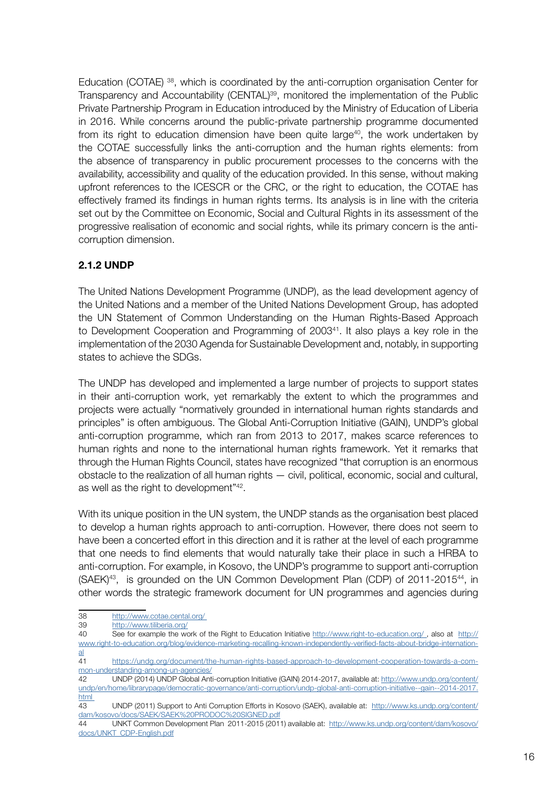Education (COTAE) 38, which is coordinated by the anti-corruption organisation Center for Transparency and Accountability (CENTAL)39, monitored the implementation of the Public Private Partnership Program in Education introduced by the Ministry of Education of Liberia in 2016. While concerns around the public-private partnership programme documented from its right to education dimension have been quite large<sup>40</sup>, the work undertaken by the COTAE successfully links the anti-corruption and the human rights elements: from the absence of transparency in public procurement processes to the concerns with the availability, accessibility and quality of the education provided. In this sense, without making upfront references to the ICESCR or the CRC, or the right to education, the COTAE has effectively framed its findings in human rights terms. Its analysis is in line with the criteria set out by the Committee on Economic, Social and Cultural Rights in its assessment of the progressive realisation of economic and social rights, while its primary concern is the anticorruption dimension.

# 2.1.2 UNDP

The United Nations Development Programme (UNDP), as the lead development agency of the United Nations and a member of the United Nations Development Group, has adopted the UN Statement of Common Understanding on the Human Rights-Based Approach to Development Cooperation and Programming of 200341. It also plays a key role in the implementation of the 2030 Agenda for Sustainable Development and, notably, in supporting states to achieve the SDGs.

The UNDP has developed and implemented a large number of projects to support states in their anti-corruption work, yet remarkably the extent to which the programmes and projects were actually "normatively grounded in international human rights standards and principles" is often ambiguous. The Global Anti-Corruption Initiative (GAIN), UNDP's global anti-corruption programme, which ran from 2013 to 2017, makes scarce references to human rights and none to the international human rights framework. Yet it remarks that through the Human Rights Council, states have recognized "that corruption is an enormous obstacle to the realization of all human rights — civil, political, economic, social and cultural, as well as the right to development"42.

With its unique position in the UN system, the UNDP stands as the organisation best placed to develop a human rights approach to anti-corruption. However, there does not seem to have been a concerted effort in this direction and it is rather at the level of each programme that one needs to find elements that would naturally take their place in such a HRBA to anti-corruption. For example, in Kosovo, the UNDP's programme to support anti-corruption (SAEK)43, is grounded on the UN Common Development Plan (CDP) of 2011-201544, in other words the strategic framework document for UN programmes and agencies during

- 38 [http://www.cotae.cental.org/](http://www.cotae.cental.org/ )
- 39 <http://www.tiliberia.org/>
- 40 See for example the work of the Right to Education Initiative [http://www.right-to-education.org/](http://www.right-to-education.org/ ) , also at [http://](http://www.right-to-education.org/blog/evidence-marketing-recalling-known-independently-verified-facts-about-bridge-international) [www.right-to-education.org/blog/evidence-marketing-recalling-known-independently-verified-facts-about-bridge-internation](http://www.right-to-education.org/blog/evidence-marketing-recalling-known-independently-verified-facts-about-bridge-international)[al](http://www.right-to-education.org/blog/evidence-marketing-recalling-known-independently-verified-facts-about-bridge-international)
- 41 [https://undg.org/document/the-human-rights-based-approach-to-development-cooperation-towards-a-com](https://undg.org/document/the-human-rights-based-approach-to-development-cooperation-towards-a-common-understanding-among-un-agencies/ )[mon-understanding-among-un-agencies/](https://undg.org/document/the-human-rights-based-approach-to-development-cooperation-towards-a-common-understanding-among-un-agencies/ )

42 UNDP (2014) UNDP Global Anti-corruption Initiative (GAIN) 2014-2017, available at: [http://www.undp.org/content/](http://www.undp.org/content/undp/en/home/librarypage/democratic-governance/anti-corruption/undp-global-anti-corruption-initiative--gain--2014-2017.html ) [undp/en/home/librarypage/democratic-governance/anti-corruption/undp-global-anti-corruption-initiative--gain--2014-2017.](http://www.undp.org/content/undp/en/home/librarypage/democratic-governance/anti-corruption/undp-global-anti-corruption-initiative--gain--2014-2017.html ) [html](http://www.undp.org/content/undp/en/home/librarypage/democratic-governance/anti-corruption/undp-global-anti-corruption-initiative--gain--2014-2017.html ) 

<sup>43</sup> UNDP (2011) Support to Anti Corruption Efforts in Kosovo (SAEK), available at: [http://www.ks.undp.org/content/](http://www.ks.undp.org/content/dam/kosovo/docs/SAEK/SAEK%20PRODOC%20SIGNED.pdf) [dam/kosovo/docs/SAEK/SAEK%20PRODOC%20SIGNED.pdf](http://www.ks.undp.org/content/dam/kosovo/docs/SAEK/SAEK%20PRODOC%20SIGNED.pdf)

<sup>44</sup> UNKT Common Development Plan 2011-2015 (2011) available at: [http://www.ks.undp.org/content/dam/kosovo/](http://www.ks.undp.org/content/dam/kosovo/docs/UNKT_CDP-English.pdf) [docs/UNKT\\_CDP-English.pdf](http://www.ks.undp.org/content/dam/kosovo/docs/UNKT_CDP-English.pdf)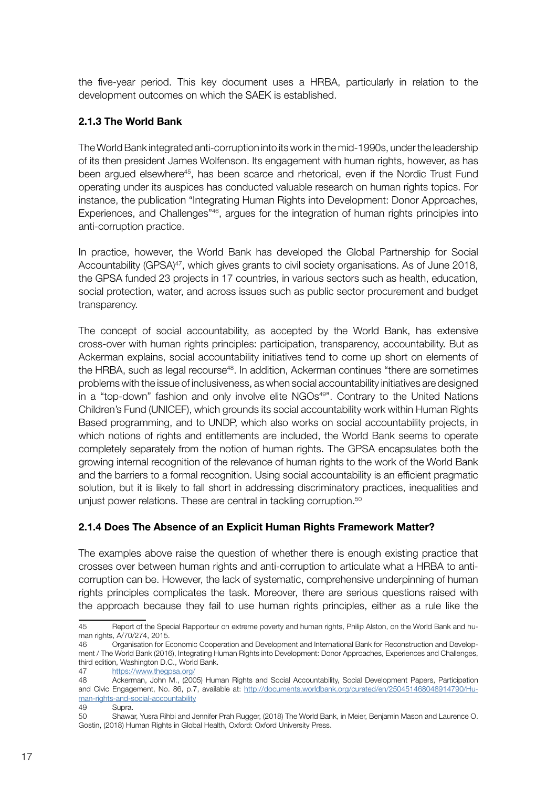the five-year period. This key document uses a HRBA, particularly in relation to the development outcomes on which the SAEK is established.

#### 2.1.3 The World Bank

The World Bank integrated anti-corruption into its work in the mid-1990s, under the leadership of its then president James Wolfenson. Its engagement with human rights, however, as has been argued elsewhere<sup>45</sup>, has been scarce and rhetorical, even if the Nordic Trust Fund operating under its auspices has conducted valuable research on human rights topics. For instance, the publication "Integrating Human Rights into Development: Donor Approaches, Experiences, and Challenges<sup>"46</sup>, argues for the integration of human rights principles into anti-corruption practice.

In practice, however, the World Bank has developed the Global Partnership for Social Accountability (GPSA)<sup>47</sup>, which gives grants to civil society organisations. As of June 2018, the GPSA funded 23 projects in 17 countries, in various sectors such as health, education, social protection, water, and across issues such as public sector procurement and budget transparency.

The concept of social accountability, as accepted by the World Bank, has extensive cross-over with human rights principles: participation, transparency, accountability. But as Ackerman explains, social accountability initiatives tend to come up short on elements of the HRBA, such as legal recourse<sup>48</sup>. In addition, Ackerman continues "there are sometimes" problems with the issue of inclusiveness, as when social accountability initiatives are designed in a "top-down" fashion and only involve elite NGOs<sup>49"</sup>. Contrary to the United Nations Children's Fund (UNICEF), which grounds its social accountability work within Human Rights Based programming, and to UNDP, which also works on social accountability projects, in which notions of rights and entitlements are included, the World Bank seems to operate completely separately from the notion of human rights. The GPSA encapsulates both the growing internal recognition of the relevance of human rights to the work of the World Bank and the barriers to a formal recognition. Using social accountability is an efficient pragmatic solution, but it is likely to fall short in addressing discriminatory practices, inequalities and unjust power relations. These are central in tackling corruption.<sup>50</sup>

# 2.1.4 Does The Absence of an Explicit Human Rights Framework Matter?

The examples above raise the question of whether there is enough existing practice that crosses over between human rights and anti-corruption to articulate what a HRBA to anticorruption can be. However, the lack of systematic, comprehensive underpinning of human rights principles complicates the task. Moreover, there are serious questions raised with the approach because they fail to use human rights principles, either as a rule like the

<sup>45</sup> Report of the Special Rapporteur on extreme poverty and human rights, Philip Alston, on the World Bank and human rights, A/70/274, 2015.

<sup>46</sup> Organisation for Economic Cooperation and Development and International Bank for Reconstruction and Development / The World Bank (2016), Integrating Human Rights into Development: Donor Approaches, Experiences and Challenges, third edition, Washington D.C., World Bank.

<sup>47</sup> <https://www.thegpsa.org/>

<sup>48</sup> Ackerman, John M., (2005) Human Rights and Social Accountability, Social Development Papers, Participation and Civic Engagement, No. 86, p.7, available at: [http://documents.worldbank.org/curated/en/250451468048914790/Hu]( http://documents.worldbank.org/curated/en/250451468048914790/Human-rights-and-social-accountability)[man-rights-and-social-accountability]( http://documents.worldbank.org/curated/en/250451468048914790/Human-rights-and-social-accountability)

<sup>49</sup> Supra.

<sup>50</sup> Shawar, Yusra Rihbi and Jennifer Prah Rugger, (2018) The World Bank, in Meier, Benjamin Mason and Laurence O. Gostin, (2018) Human Rights in Global Health, Oxford: Oxford University Press.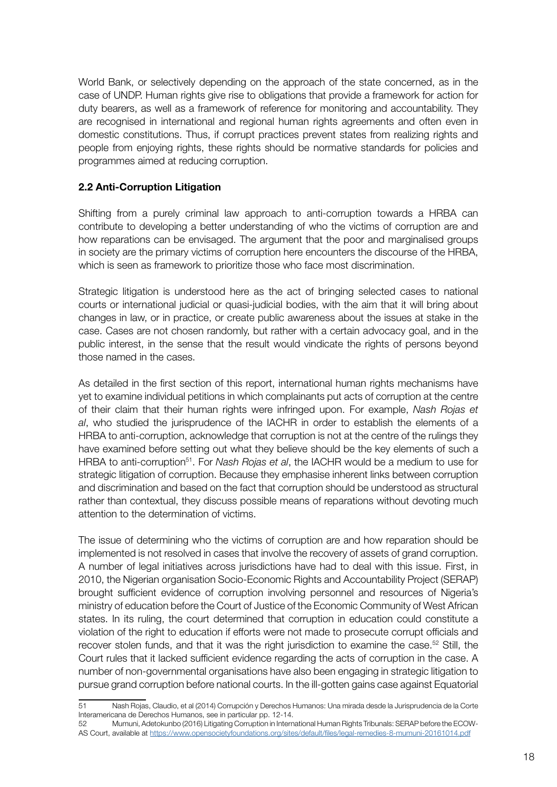World Bank, or selectively depending on the approach of the state concerned, as in the case of UNDP. Human rights give rise to obligations that provide a framework for action for duty bearers, as well as a framework of reference for monitoring and accountability. They are recognised in international and regional human rights agreements and often even in domestic constitutions. Thus, if corrupt practices prevent states from realizing rights and people from enjoying rights, these rights should be normative standards for policies and programmes aimed at reducing corruption.

# 2.2 Anti-Corruption Litigation

Shifting from a purely criminal law approach to anti-corruption towards a HRBA can contribute to developing a better understanding of who the victims of corruption are and how reparations can be envisaged. The argument that the poor and marginalised groups in society are the primary victims of corruption here encounters the discourse of the HRBA, which is seen as framework to prioritize those who face most discrimination.

Strategic litigation is understood here as the act of bringing selected cases to national courts or international judicial or quasi-judicial bodies, with the aim that it will bring about changes in law, or in practice, or create public awareness about the issues at stake in the case. Cases are not chosen randomly, but rather with a certain advocacy goal, and in the public interest, in the sense that the result would vindicate the rights of persons beyond those named in the cases.

As detailed in the first section of this report, international human rights mechanisms have yet to examine individual petitions in which complainants put acts of corruption at the centre of their claim that their human rights were infringed upon. For example, *Nash Rojas et al*, who studied the jurisprudence of the IACHR in order to establish the elements of a HRBA to anti-corruption, acknowledge that corruption is not at the centre of the rulings they have examined before setting out what they believe should be the key elements of such a HRBA to anti-corruption<sup>51</sup>. For *Nash Rojas et al*, the IACHR would be a medium to use for strategic litigation of corruption. Because they emphasise inherent links between corruption and discrimination and based on the fact that corruption should be understood as structural rather than contextual, they discuss possible means of reparations without devoting much attention to the determination of victims.

The issue of determining who the victims of corruption are and how reparation should be implemented is not resolved in cases that involve the recovery of assets of grand corruption. A number of legal initiatives across jurisdictions have had to deal with this issue. First, in 2010, the Nigerian organisation Socio-Economic Rights and Accountability Project (SERAP) brought sufficient evidence of corruption involving personnel and resources of Nigeria's ministry of education before the Court of Justice of the Economic Community of West African states. In its ruling, the court determined that corruption in education could constitute a violation of the right to education if efforts were not made to prosecute corrupt officials and recover stolen funds, and that it was the right jurisdiction to examine the case.<sup>52</sup> Still, the Court rules that it lacked sufficient evidence regarding the acts of corruption in the case. A number of non-governmental organisations have also been engaging in strategic litigation to pursue grand corruption before national courts. In the ill-gotten gains case against Equatorial

52 Mumuni, Adetokunbo (2016) Litigating Corruption in International Human Rights Tribunals: SERAP before the ECOW-AS Court, available at<https://www.opensocietyfoundations.org/sites/default/files/legal-remedies-8-mumuni-20161014.pdf>

<sup>51</sup> Nash Rojas, Claudio, et al (2014) Corrupción y Derechos Humanos: Una mirada desde la Jurisprudencia de la Corte Interamericana de Derechos Humanos, see in particular pp. 12-14.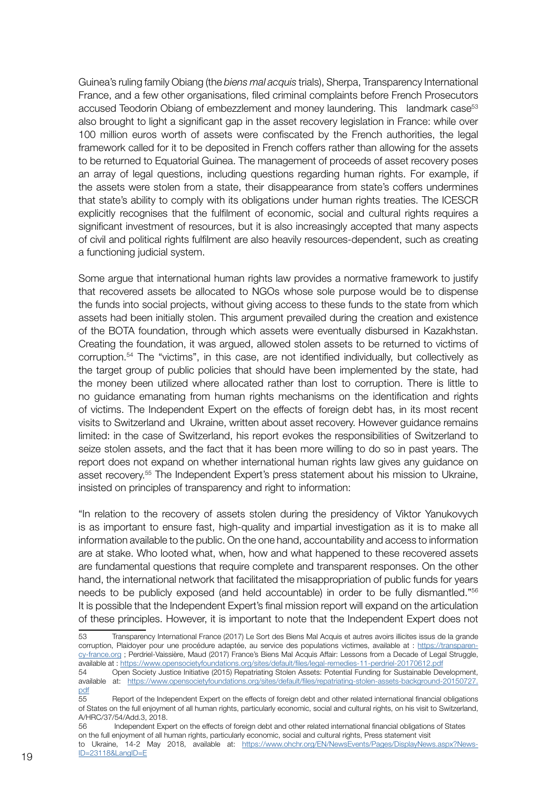Guinea's ruling family Obiang (the *biens mal acquis* trials), Sherpa, Transparency International France, and a few other organisations, filed criminal complaints before French Prosecutors accused Teodorin Obiang of embezzlement and money laundering. This landmark case<sup>53</sup> also brought to light a significant gap in the asset recovery legislation in France: while over 100 million euros worth of assets were confiscated by the French authorities, the legal framework called for it to be deposited in French coffers rather than allowing for the assets to be returned to Equatorial Guinea. The management of proceeds of asset recovery poses an array of legal questions, including questions regarding human rights. For example, if the assets were stolen from a state, their disappearance from state's coffers undermines that state's ability to comply with its obligations under human rights treaties. The ICESCR explicitly recognises that the fulfilment of economic, social and cultural rights requires a significant investment of resources, but it is also increasingly accepted that many aspects of civil and political rights fulfilment are also heavily resources-dependent, such as creating a functioning judicial system.

Some argue that international human rights law provides a normative framework to justify that recovered assets be allocated to NGOs whose sole purpose would be to dispense the funds into social projects, without giving access to these funds to the state from which assets had been initially stolen. This argument prevailed during the creation and existence of the BOTA foundation, through which assets were eventually disbursed in Kazakhstan. Creating the foundation, it was argued, allowed stolen assets to be returned to victims of corruption.54 The "victims", in this case, are not identified individually, but collectively as the target group of public policies that should have been implemented by the state, had the money been utilized where allocated rather than lost to corruption. There is little to no guidance emanating from human rights mechanisms on the identification and rights of victims. The Independent Expert on the effects of foreign debt has, in its most recent visits to Switzerland and Ukraine, written about asset recovery. However guidance remains limited: in the case of Switzerland, his report evokes the responsibilities of Switzerland to seize stolen assets, and the fact that it has been more willing to do so in past years. The report does not expand on whether international human rights law gives any guidance on asset recovery.55 The Independent Expert's press statement about his mission to Ukraine, insisted on principles of transparency and right to information:

"In relation to the recovery of assets stolen during the presidency of Viktor Yanukovych is as important to ensure fast, high-quality and impartial investigation as it is to make all information available to the public. On the one hand, accountability and access to information are at stake. Who looted what, when, how and what happened to these recovered assets are fundamental questions that require complete and transparent responses. On the other hand, the international network that facilitated the misappropriation of public funds for years needs to be publicly exposed (and held accountable) in order to be fully dismantled."56 It is possible that the Independent Expert's final mission report will expand on the articulation of these principles. However, it is important to note that the Independent Expert does not

<sup>53</sup> Transparency International France (2017) Le Sort des Biens Mal Acquis et autres avoirs illicites issus de la grande corruption, Plaidoyer pour une procédure adaptée, au service des populations victimes, available at : [https://transparen](https://transparency-france.org)[cy-france.org](https://transparency-france.org) ; Perdriel-Vaissière, Maud (2017) France's Biens Mal Acquis Affair: Lessons from a Decade of Legal Struggle, available at : <https://www.opensocietyfoundations.org/sites/default/files/legal-remedies-11-perdriel-20170612.pdf>

<sup>54</sup> Open Society Justice Initiative (2015) Repatriating Stolen Assets: Potential Funding for Sustainable Development, available at: [https://www.opensocietyfoundations.org/sites/default/files/repatriating-stolen-assets-background-20150727.](https://www.opensocietyfoundations.org/sites/default/files/repatriating-stolen-assets-background-201) [pdf](https://www.opensocietyfoundations.org/sites/default/files/repatriating-stolen-assets-background-201)

<sup>55</sup> Report of the Independent Expert on the effects of foreign debt and other related international financial obligations of States on the full enjoyment of all human rights, particularly economic, social and cultural rights, on his visit to Switzerland, A/HRC/37/54/Add.3, 2018.

<sup>56</sup> Independent Expert on the effects of foreign debt and other related international financial obligations of States on the full enjoyment of all human rights, particularly economic, social and cultural rights, Press statement visit to Ukraine, 14-2 May 2018, available at: [https://www.ohchr.org/EN/NewsEvents/Pages/DisplayNews.aspx?News-](https://www.ohchr.org/EN/NewsEvents/Pages/DisplayNews.aspx?NewsID=23118&LangID=E)[ID=23118&LangID=E](https://www.ohchr.org/EN/NewsEvents/Pages/DisplayNews.aspx?NewsID=23118&LangID=E)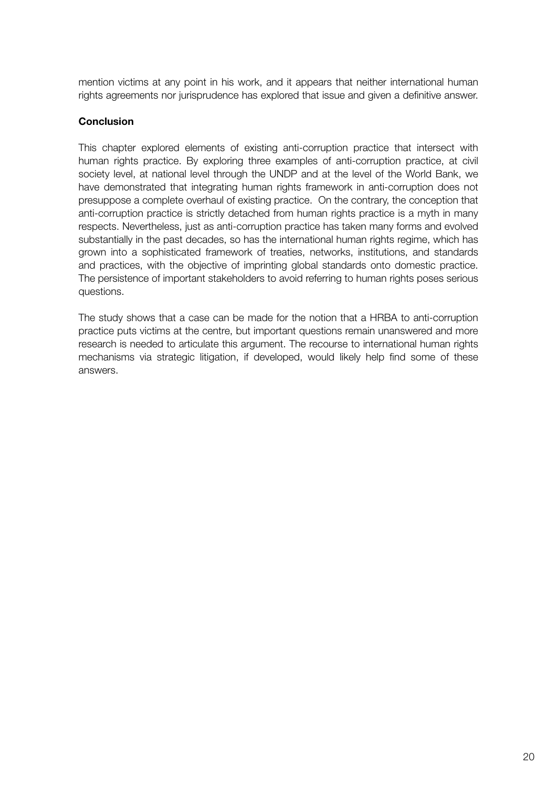mention victims at any point in his work, and it appears that neither international human rights agreements nor jurisprudence has explored that issue and given a definitive answer.

#### **Conclusion**

This chapter explored elements of existing anti-corruption practice that intersect with human rights practice. By exploring three examples of anti-corruption practice, at civil society level, at national level through the UNDP and at the level of the World Bank, we have demonstrated that integrating human rights framework in anti-corruption does not presuppose a complete overhaul of existing practice. On the contrary, the conception that anti-corruption practice is strictly detached from human rights practice is a myth in many respects. Nevertheless, just as anti-corruption practice has taken many forms and evolved substantially in the past decades, so has the international human rights regime, which has grown into a sophisticated framework of treaties, networks, institutions, and standards and practices, with the objective of imprinting global standards onto domestic practice. The persistence of important stakeholders to avoid referring to human rights poses serious questions.

The study shows that a case can be made for the notion that a HRBA to anti-corruption practice puts victims at the centre, but important questions remain unanswered and more research is needed to articulate this argument. The recourse to international human rights mechanisms via strategic litigation, if developed, would likely help find some of these answers.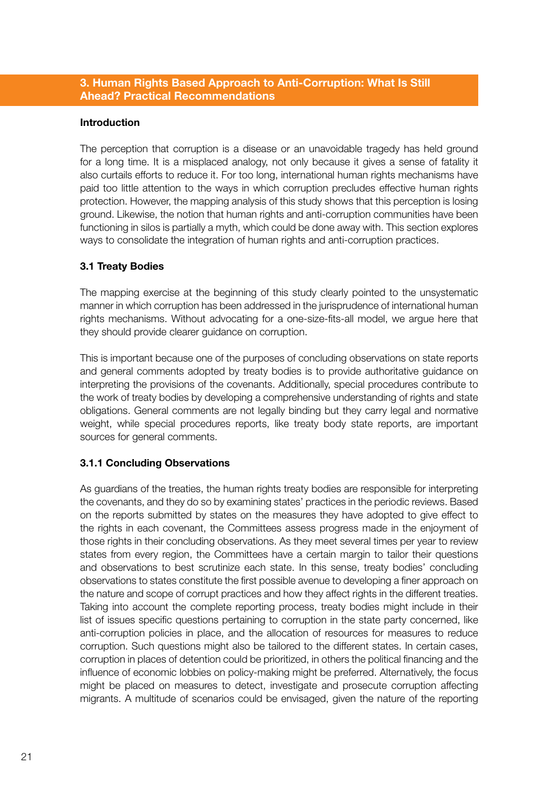#### 3. Human Rights Based Approach to Anti-Corruption: What Is Still Ahead? Practical Recommendations

#### Introduction

The perception that corruption is a disease or an unavoidable tragedy has held ground for a long time. It is a misplaced analogy, not only because it gives a sense of fatality it also curtails efforts to reduce it. For too long, international human rights mechanisms have paid too little attention to the ways in which corruption precludes effective human rights protection. However, the mapping analysis of this study shows that this perception is losing ground. Likewise, the notion that human rights and anti-corruption communities have been functioning in silos is partially a myth, which could be done away with. This section explores ways to consolidate the integration of human rights and anti-corruption practices.

#### 3.1 Treaty Bodies

The mapping exercise at the beginning of this study clearly pointed to the unsystematic manner in which corruption has been addressed in the jurisprudence of international human rights mechanisms. Without advocating for a one-size-fits-all model, we argue here that they should provide clearer guidance on corruption.

This is important because one of the purposes of concluding observations on state reports and general comments adopted by treaty bodies is to provide authoritative guidance on interpreting the provisions of the covenants. Additionally, special procedures contribute to the work of treaty bodies by developing a comprehensive understanding of rights and state obligations. General comments are not legally binding but they carry legal and normative weight, while special procedures reports, like treaty body state reports, are important sources for general comments.

#### 3.1.1 Concluding Observations

As guardians of the treaties, the human rights treaty bodies are responsible for interpreting the covenants, and they do so by examining states' practices in the periodic reviews. Based on the reports submitted by states on the measures they have adopted to give effect to the rights in each covenant, the Committees assess progress made in the enjoyment of those rights in their concluding observations. As they meet several times per year to review states from every region, the Committees have a certain margin to tailor their questions and observations to best scrutinize each state. In this sense, treaty bodies' concluding observations to states constitute the first possible avenue to developing a finer approach on the nature and scope of corrupt practices and how they affect rights in the different treaties. Taking into account the complete reporting process, treaty bodies might include in their list of issues specific questions pertaining to corruption in the state party concerned, like anti-corruption policies in place, and the allocation of resources for measures to reduce corruption. Such questions might also be tailored to the different states. In certain cases, corruption in places of detention could be prioritized, in others the political financing and the influence of economic lobbies on policy-making might be preferred. Alternatively, the focus might be placed on measures to detect, investigate and prosecute corruption affecting migrants. A multitude of scenarios could be envisaged, given the nature of the reporting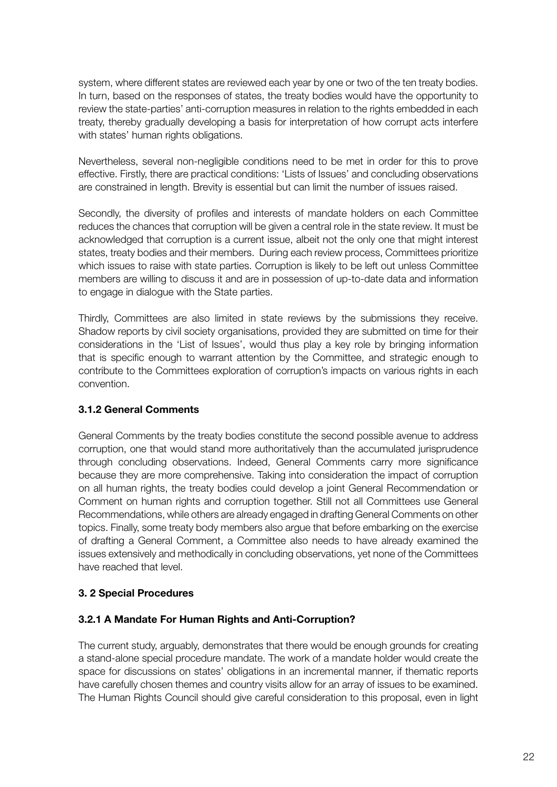system, where different states are reviewed each year by one or two of the ten treaty bodies. In turn, based on the responses of states, the treaty bodies would have the opportunity to review the state-parties' anti-corruption measures in relation to the rights embedded in each treaty, thereby gradually developing a basis for interpretation of how corrupt acts interfere with states' human rights obligations.

Nevertheless, several non-negligible conditions need to be met in order for this to prove effective. Firstly, there are practical conditions: 'Lists of Issues' and concluding observations are constrained in length. Brevity is essential but can limit the number of issues raised.

Secondly, the diversity of profiles and interests of mandate holders on each Committee reduces the chances that corruption will be given a central role in the state review. It must be acknowledged that corruption is a current issue, albeit not the only one that might interest states, treaty bodies and their members. During each review process, Committees prioritize which issues to raise with state parties. Corruption is likely to be left out unless Committee members are willing to discuss it and are in possession of up-to-date data and information to engage in dialogue with the State parties.

Thirdly, Committees are also limited in state reviews by the submissions they receive. Shadow reports by civil society organisations, provided they are submitted on time for their considerations in the 'List of Issues', would thus play a key role by bringing information that is specific enough to warrant attention by the Committee, and strategic enough to contribute to the Committees exploration of corruption's impacts on various rights in each convention.

# 3.1.2 General Comments

General Comments by the treaty bodies constitute the second possible avenue to address corruption, one that would stand more authoritatively than the accumulated jurisprudence through concluding observations. Indeed, General Comments carry more significance because they are more comprehensive. Taking into consideration the impact of corruption on all human rights, the treaty bodies could develop a joint General Recommendation or Comment on human rights and corruption together. Still not all Committees use General Recommendations, while others are already engaged in drafting General Comments on other topics. Finally, some treaty body members also argue that before embarking on the exercise of drafting a General Comment, a Committee also needs to have already examined the issues extensively and methodically in concluding observations, yet none of the Committees have reached that level.

# 3. 2 Special Procedures

# 3.2.1 A Mandate For Human Rights and Anti-Corruption?

The current study, arguably, demonstrates that there would be enough grounds for creating a stand-alone special procedure mandate. The work of a mandate holder would create the space for discussions on states' obligations in an incremental manner, if thematic reports have carefully chosen themes and country visits allow for an array of issues to be examined. The Human Rights Council should give careful consideration to this proposal, even in light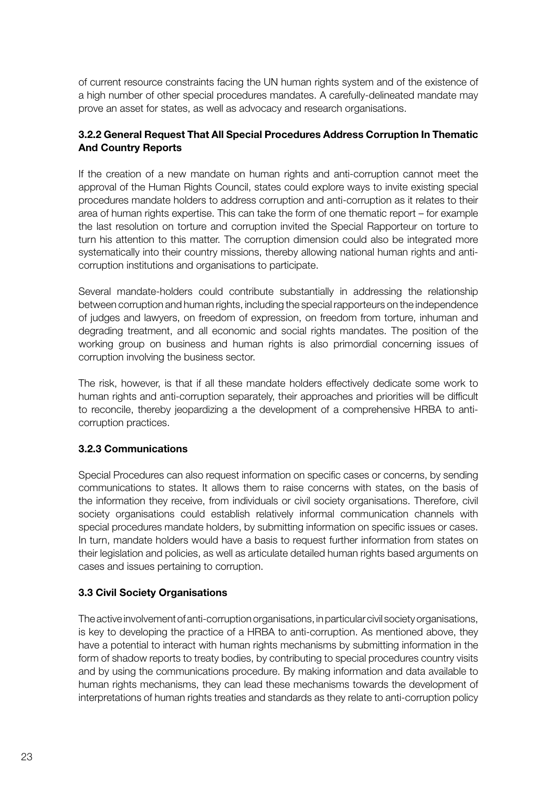of current resource constraints facing the UN human rights system and of the existence of a high number of other special procedures mandates. A carefully-delineated mandate may prove an asset for states, as well as advocacy and research organisations.

# 3.2.2 General Request That All Special Procedures Address Corruption In Thematic And Country Reports

If the creation of a new mandate on human rights and anti-corruption cannot meet the approval of the Human Rights Council, states could explore ways to invite existing special procedures mandate holders to address corruption and anti-corruption as it relates to their area of human rights expertise. This can take the form of one thematic report – for example the last resolution on torture and corruption invited the Special Rapporteur on torture to turn his attention to this matter. The corruption dimension could also be integrated more systematically into their country missions, thereby allowing national human rights and anticorruption institutions and organisations to participate.

Several mandate-holders could contribute substantially in addressing the relationship between corruption and human rights, including the special rapporteurs on the independence of judges and lawyers, on freedom of expression, on freedom from torture, inhuman and degrading treatment, and all economic and social rights mandates. The position of the working group on business and human rights is also primordial concerning issues of corruption involving the business sector.

The risk, however, is that if all these mandate holders effectively dedicate some work to human rights and anti-corruption separately, their approaches and priorities will be difficult to reconcile, thereby jeopardizing a the development of a comprehensive HRBA to anticorruption practices.

# 3.2.3 Communications

Special Procedures can also request information on specific cases or concerns, by sending communications to states. It allows them to raise concerns with states, on the basis of the information they receive, from individuals or civil society organisations. Therefore, civil society organisations could establish relatively informal communication channels with special procedures mandate holders, by submitting information on specific issues or cases. In turn, mandate holders would have a basis to request further information from states on their legislation and policies, as well as articulate detailed human rights based arguments on cases and issues pertaining to corruption.

# 3.3 Civil Society Organisations

The active involvement of anti-corruption organisations, in particular civil society organisations, is key to developing the practice of a HRBA to anti-corruption. As mentioned above, they have a potential to interact with human rights mechanisms by submitting information in the form of shadow reports to treaty bodies, by contributing to special procedures country visits and by using the communications procedure. By making information and data available to human rights mechanisms, they can lead these mechanisms towards the development of interpretations of human rights treaties and standards as they relate to anti-corruption policy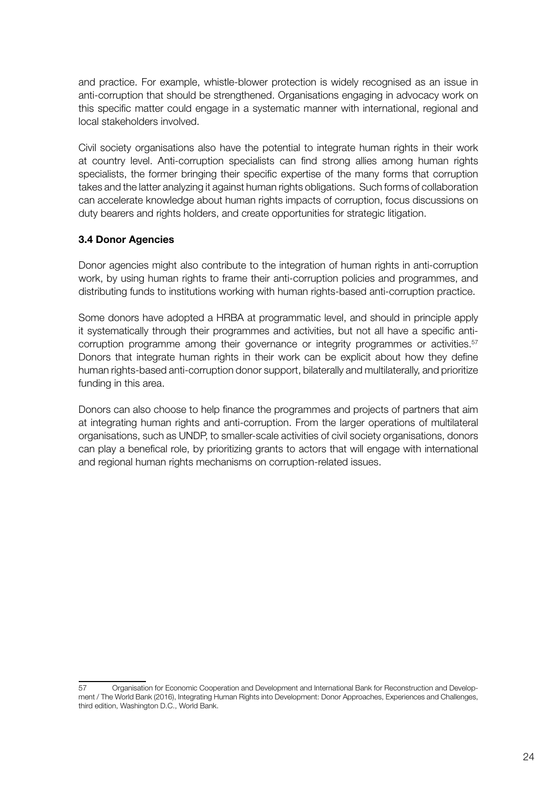and practice. For example, whistle-blower protection is widely recognised as an issue in anti-corruption that should be strengthened. Organisations engaging in advocacy work on this specific matter could engage in a systematic manner with international, regional and local stakeholders involved.

Civil society organisations also have the potential to integrate human rights in their work at country level. Anti-corruption specialists can find strong allies among human rights specialists, the former bringing their specific expertise of the many forms that corruption takes and the latter analyzing it against human rights obligations. Such forms of collaboration can accelerate knowledge about human rights impacts of corruption, focus discussions on duty bearers and rights holders, and create opportunities for strategic litigation.

# 3.4 Donor Agencies

Donor agencies might also contribute to the integration of human rights in anti-corruption work, by using human rights to frame their anti-corruption policies and programmes, and distributing funds to institutions working with human rights-based anti-corruption practice.

Some donors have adopted a HRBA at programmatic level, and should in principle apply it systematically through their programmes and activities, but not all have a specific anticorruption programme among their governance or integrity programmes or activities.<sup>57</sup> Donors that integrate human rights in their work can be explicit about how they define human rights-based anti-corruption donor support, bilaterally and multilaterally, and prioritize funding in this area.

Donors can also choose to help finance the programmes and projects of partners that aim at integrating human rights and anti-corruption. From the larger operations of multilateral organisations, such as UNDP, to smaller-scale activities of civil society organisations, donors can play a benefical role, by prioritizing grants to actors that will engage with international and regional human rights mechanisms on corruption-related issues.

<sup>57</sup> Organisation for Economic Cooperation and Development and International Bank for Reconstruction and Development / The World Bank (2016), Integrating Human Rights into Development: Donor Approaches, Experiences and Challenges, third edition, Washington D.C., World Bank.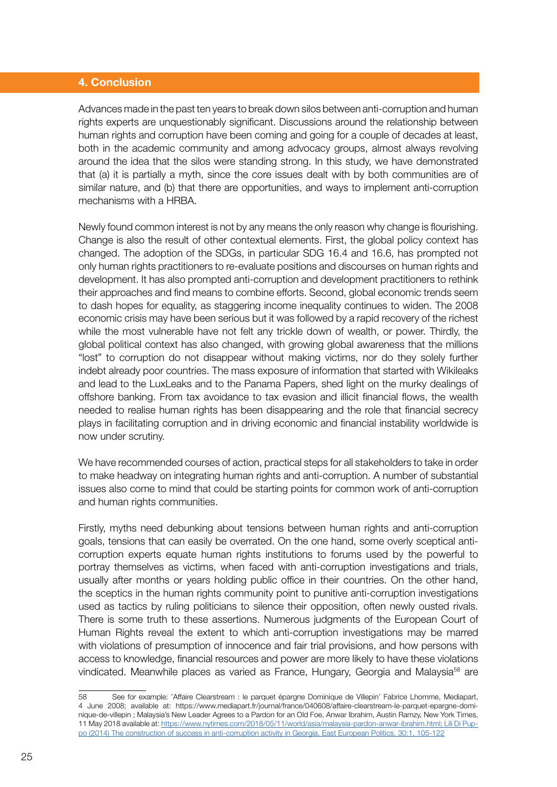#### 4. Conclusion

Advances made in the past ten years to break down silos between anti-corruption and human rights experts are unquestionably significant. Discussions around the relationship between human rights and corruption have been coming and going for a couple of decades at least, both in the academic community and among advocacy groups, almost always revolving around the idea that the silos were standing strong. In this study, we have demonstrated that (a) it is partially a myth, since the core issues dealt with by both communities are of similar nature, and (b) that there are opportunities, and ways to implement anti-corruption mechanisms with a HRBA.

Newly found common interest is not by any means the only reason why change is flourishing. Change is also the result of other contextual elements. First, the global policy context has changed. The adoption of the SDGs, in particular SDG 16.4 and 16.6, has prompted not only human rights practitioners to re-evaluate positions and discourses on human rights and development. It has also prompted anti-corruption and development practitioners to rethink their approaches and find means to combine efforts. Second, global economic trends seem to dash hopes for equality, as staggering income inequality continues to widen. The 2008 economic crisis may have been serious but it was followed by a rapid recovery of the richest while the most vulnerable have not felt any trickle down of wealth, or power. Thirdly, the global political context has also changed, with growing global awareness that the millions "lost" to corruption do not disappear without making victims, nor do they solely further indebt already poor countries. The mass exposure of information that started with Wikileaks and lead to the LuxLeaks and to the Panama Papers, shed light on the murky dealings of offshore banking. From tax avoidance to tax evasion and illicit financial flows, the wealth needed to realise human rights has been disappearing and the role that financial secrecy plays in facilitating corruption and in driving economic and financial instability worldwide is now under scrutiny.

We have recommended courses of action, practical steps for all stakeholders to take in order to make headway on integrating human rights and anti-corruption. A number of substantial issues also come to mind that could be starting points for common work of anti-corruption and human rights communities.

Firstly, myths need debunking about tensions between human rights and anti-corruption goals, tensions that can easily be overrated. On the one hand, some overly sceptical anticorruption experts equate human rights institutions to forums used by the powerful to portray themselves as victims, when faced with anti-corruption investigations and trials, usually after months or years holding public office in their countries. On the other hand, the sceptics in the human rights community point to punitive anti-corruption investigations used as tactics by ruling politicians to silence their opposition, often newly ousted rivals. There is some truth to these assertions. Numerous judgments of the European Court of Human Rights reveal the extent to which anti-corruption investigations may be marred with violations of presumption of innocence and fair trial provisions, and how persons with access to knowledge, financial resources and power are more likely to have these violations vindicated. Meanwhile places as varied as France, Hungary, Georgia and Malaysia<sup>58</sup> are

<sup>58</sup> See for example: 'Affaire Clearstream : le parquet épargne Dominique de Villepin' Fabrice Lhomme, Mediapart, 4 June 2008; available at: https://www.mediapart.fr/journal/france/040608/affaire-clearstream-le-parquet-epargne-dominique-de-villepin ; Malaysia's New Leader Agrees to a Pardon for an Old Foe, Anwar Ibrahim, Austin Ramzy, New York Times, 11 May 2018 available at: [https://www.nytimes.com/2018/05/11/world/asia/malaysia-pardon-anwar-ibrahim.html; Lili Di Pup](https://www.nytimes.com/2018/05/11/world/asia/malaysia-pardon-anwar-ibrahim.html; Lili Di Puppo (2014) The construction of success in anti-corruption activity in Georgia, East European Politics, 30:1, 105-122)[po \(2014\) The construction of success in anti-corruption activity in Georgia, East European Politics, 30:1, 105-122](https://www.nytimes.com/2018/05/11/world/asia/malaysia-pardon-anwar-ibrahim.html; Lili Di Puppo (2014) The construction of success in anti-corruption activity in Georgia, East European Politics, 30:1, 105-122)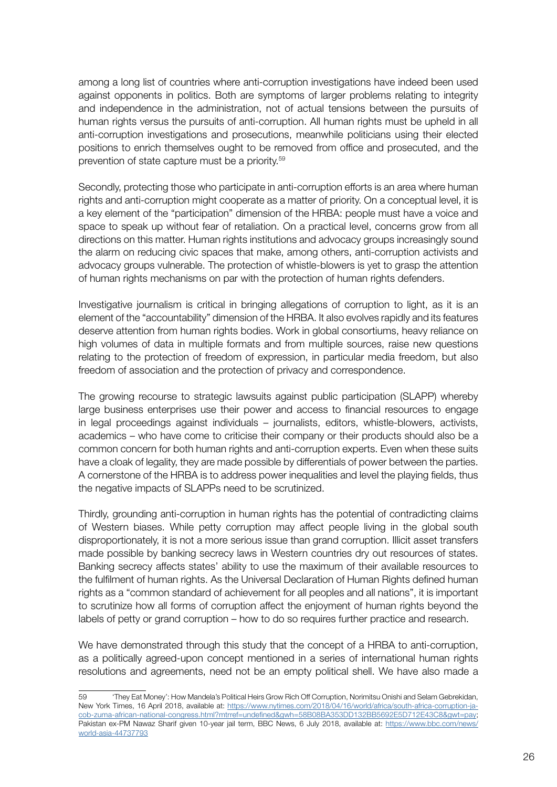among a long list of countries where anti-corruption investigations have indeed been used against opponents in politics. Both are symptoms of larger problems relating to integrity and independence in the administration, not of actual tensions between the pursuits of human rights versus the pursuits of anti-corruption. All human rights must be upheld in all anti-corruption investigations and prosecutions, meanwhile politicians using their elected positions to enrich themselves ought to be removed from office and prosecuted, and the prevention of state capture must be a priority.59

Secondly, protecting those who participate in anti-corruption efforts is an area where human rights and anti-corruption might cooperate as a matter of priority. On a conceptual level, it is a key element of the "participation" dimension of the HRBA: people must have a voice and space to speak up without fear of retaliation. On a practical level, concerns grow from all directions on this matter. Human rights institutions and advocacy groups increasingly sound the alarm on reducing civic spaces that make, among others, anti-corruption activists and advocacy groups vulnerable. The protection of whistle-blowers is yet to grasp the attention of human rights mechanisms on par with the protection of human rights defenders.

Investigative journalism is critical in bringing allegations of corruption to light, as it is an element of the "accountability" dimension of the HRBA. It also evolves rapidly and its features deserve attention from human rights bodies. Work in global consortiums, heavy reliance on high volumes of data in multiple formats and from multiple sources, raise new questions relating to the protection of freedom of expression, in particular media freedom, but also freedom of association and the protection of privacy and correspondence.

The growing recourse to strategic lawsuits against public participation (SLAPP) whereby large business enterprises use their power and access to financial resources to engage in legal proceedings against individuals – journalists, editors, whistle-blowers, activists, academics – who have come to criticise their company or their products should also be a common concern for both human rights and anti-corruption experts. Even when these suits have a cloak of legality, they are made possible by differentials of power between the parties. A cornerstone of the HRBA is to address power inequalities and level the playing fields, thus the negative impacts of SLAPPs need to be scrutinized.

Thirdly, grounding anti-corruption in human rights has the potential of contradicting claims of Western biases. While petty corruption may affect people living in the global south disproportionately, it is not a more serious issue than grand corruption. Illicit asset transfers made possible by banking secrecy laws in Western countries dry out resources of states. Banking secrecy affects states' ability to use the maximum of their available resources to the fulfilment of human rights. As the Universal Declaration of Human Rights defined human rights as a "common standard of achievement for all peoples and all nations", it is important to scrutinize how all forms of corruption affect the enjoyment of human rights beyond the labels of petty or grand corruption – how to do so requires further practice and research.

We have demonstrated through this study that the concept of a HRBA to anti-corruption, as a politically agreed-upon concept mentioned in a series of international human rights resolutions and agreements, need not be an empty political shell. We have also made a

<sup>59</sup> 'They Eat Money': How Mandela's Political Heirs Grow Rich Off Corruption, Norimitsu Onishi and Selam Gebrekidan, New York Times, 16 April 2018, available at: [https://www.nytimes.com/2018/04/16/world/africa/south-africa-corruption-ja](https://www.nytimes.com/2018/04/16/world/africa/south-africa-corruption-jacob-zuma-african-national-congress.html?mtrref=undefined&gwh=58B08BA353DD132BB5692E5D712E43C8&gwt=pay)[cob-zuma-african-national-congress.html?mtrref=undefined&gwh=58B08BA353DD132BB5692E5D712E43C8&gwt=pay](https://www.nytimes.com/2018/04/16/world/africa/south-africa-corruption-jacob-zuma-african-national-congress.html?mtrref=undefined&gwh=58B08BA353DD132BB5692E5D712E43C8&gwt=pay); Pakistan ex-PM Nawaz Sharif given 10-year jail term, BBC News, 6 July 2018, available at: [https://www.bbc.com/news/](https://www.bbc.com/news/world-asia-44737793) [world-asia-44737793](https://www.bbc.com/news/world-asia-44737793)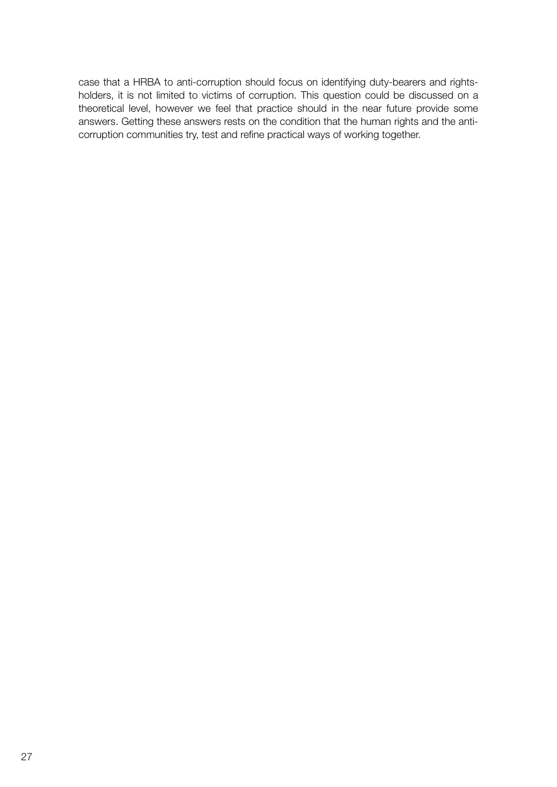case that a HRBA to anti-corruption should focus on identifying duty-bearers and rightsholders, it is not limited to victims of corruption. This question could be discussed on a theoretical level, however we feel that practice should in the near future provide some answers. Getting these answers rests on the condition that the human rights and the anticorruption communities try, test and refine practical ways of working together.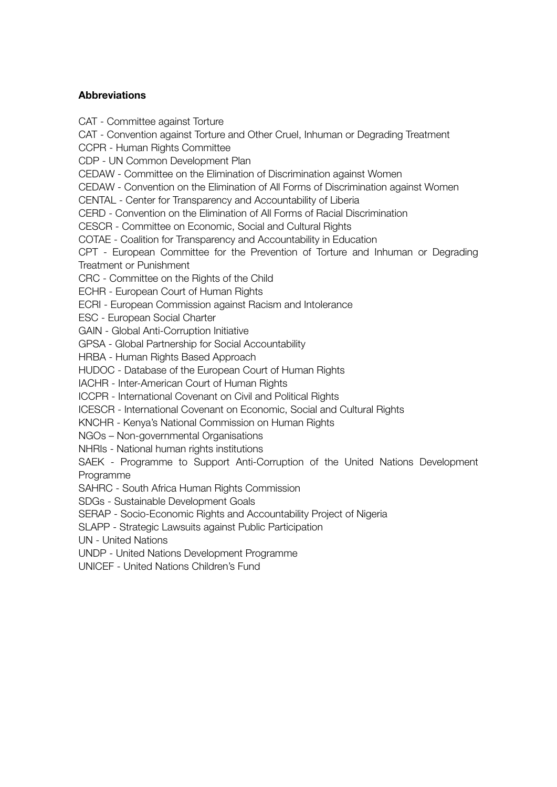#### Abbreviations

CAT - Committee against Torture

CAT - Convention against Torture and Other Cruel, Inhuman or Degrading Treatment

CCPR - Human Rights Committee

CDP - UN Common Development Plan

CEDAW - Committee on the Elimination of Discrimination against Women

CEDAW - Convention on the Elimination of All Forms of Discrimination against Women

CENTAL - Center for Transparency and Accountability of Liberia

CERD - Convention on the Elimination of All Forms of Racial Discrimination

CESCR - Committee on Economic, Social and Cultural Rights

COTAE - Coalition for Transparency and Accountability in Education

CPT - European Committee for the Prevention of Torture and Inhuman or Degrading Treatment or Punishment

CRC - Committee on the Rights of the Child

ECHR - European Court of Human Rights

ECRI - European Commission against Racism and Intolerance

ESC - European Social Charter

GAIN - Global Anti-Corruption Initiative

GPSA - Global Partnership for Social Accountability

HRBA - Human Rights Based Approach

HUDOC - Database of the European Court of Human Rights

IACHR - Inter-American Court of Human Rights

ICCPR - International Covenant on Civil and Political Rights

ICESCR - International Covenant on Economic, Social and Cultural Rights

KNCHR - Kenya's National Commission on Human Rights

NGOs – Non-governmental Organisations

NHRIs - National human rights institutions

SAEK - Programme to Support Anti-Corruption of the United Nations Development Programme

SAHRC - South Africa Human Rights Commission

SDGs - Sustainable Development Goals

SERAP - Socio-Economic Rights and Accountability Project of Nigeria

SLAPP - Strategic Lawsuits against Public Participation

UN - United Nations

UNDP - United Nations Development Programme

UNICEF - United Nations Children's Fund